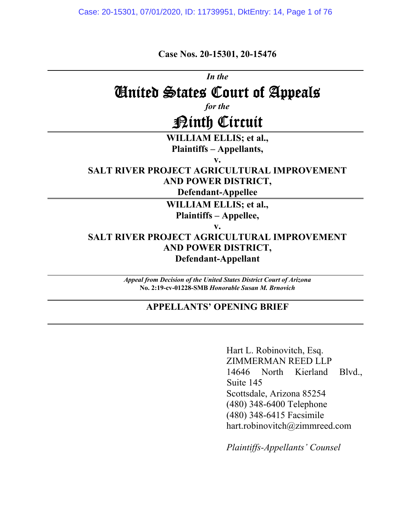**Case Nos. 20-15301, 20-15476** 

*In the* 

# United States Court of Appeals

*for the* 

# Ninth Circuit

**WILLIAM ELLIS; et al., Plaintiffs – Appellants,** 

**v.** 

## **SALT RIVER PROJECT AGRICULTURAL IMPROVEMENT AND POWER DISTRICT,**

**Defendant-Appellee** 

**WILLIAM ELLIS; et al., Plaintiffs – Appellee,** 

**v.** 

### **SALT RIVER PROJECT AGRICULTURAL IMPROVEMENT AND POWER DISTRICT, Defendant-Appellant**

*Appeal from Decision of the United States District Court of Arizona*  **No. 2:19-cv-01228-SMB** *Honorable Susan M. Brnovich* 

### **APPELLANTS' OPENING BRIEF**

Hart L. Robinovitch, Esq. ZIMMERMAN REED LLP 14646 North Kierland Blvd., Suite 145 Scottsdale, Arizona 85254 (480) 348-6400 Telephone (480) 348-6415 Facsimile hart.robinovitch@zimmreed.com

*Plaintiffs-Appellants' Counsel*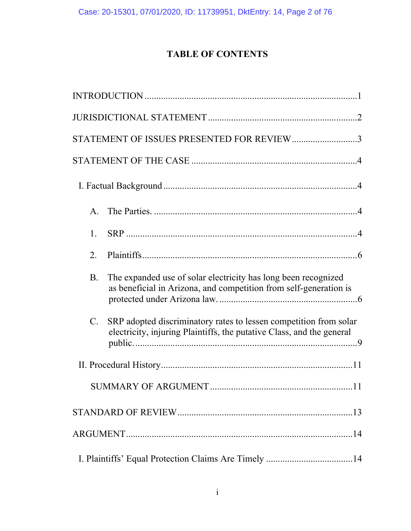# **TABLE OF CONTENTS**

| STATEMENT OF ISSUES PRESENTED FOR REVIEW3                                                                                                                 |  |
|-----------------------------------------------------------------------------------------------------------------------------------------------------------|--|
|                                                                                                                                                           |  |
|                                                                                                                                                           |  |
| $\mathsf{A}$ .                                                                                                                                            |  |
| 1.                                                                                                                                                        |  |
| 2.                                                                                                                                                        |  |
| The expanded use of solar electricity has long been recognized<br>B.<br>as beneficial in Arizona, and competition from self-generation is                 |  |
| SRP adopted discriminatory rates to lessen competition from solar<br>$C_{\cdot}$<br>electricity, injuring Plaintiffs, the putative Class, and the general |  |
|                                                                                                                                                           |  |
|                                                                                                                                                           |  |
|                                                                                                                                                           |  |
|                                                                                                                                                           |  |
|                                                                                                                                                           |  |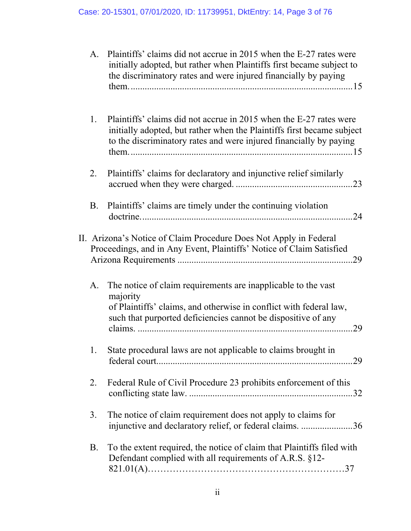| A.        | Plaintiffs' claims did not accrue in 2015 when the E-27 rates were<br>initially adopted, but rather when Plaintiffs first became subject to<br>the discriminatory rates and were injured financially by paying     |
|-----------|--------------------------------------------------------------------------------------------------------------------------------------------------------------------------------------------------------------------|
| 1.        | Plaintiffs' claims did not accrue in 2015 when the E-27 rates were<br>initially adopted, but rather when the Plaintiffs first became subject<br>to the discriminatory rates and were injured financially by paying |
| 2.        | Plaintiffs' claims for declaratory and injunctive relief similarly                                                                                                                                                 |
| B.        | Plaintiffs' claims are timely under the continuing violation                                                                                                                                                       |
|           | II. Arizona's Notice of Claim Procedure Does Not Apply in Federal<br>Proceedings, and in Any Event, Plaintiffs' Notice of Claim Satisfied                                                                          |
| A.        | The notice of claim requirements are inapplicable to the vast<br>majority<br>of Plaintiffs' claims, and otherwise in conflict with federal law,<br>such that purported deficiencies cannot be dispositive of any   |
| 1.        | State procedural laws are not applicable to claims brought in                                                                                                                                                      |
| 2.        | Federal Rule of Civil Procedure 23 prohibits enforcement of this                                                                                                                                                   |
| 3.        | The notice of claim requirement does not apply to claims for<br>injunctive and declaratory relief, or federal claims. 36                                                                                           |
| <b>B.</b> | To the extent required, the notice of claim that Plaintiffs filed with<br>Defendant complied with all requirements of A.R.S. §12-                                                                                  |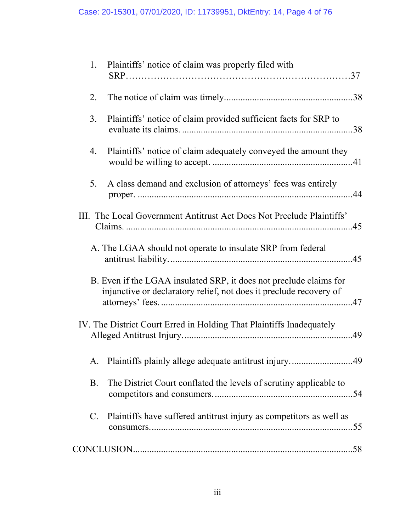| 1.          | Plaintiffs' notice of claim was properly filed with                                                                                      |
|-------------|------------------------------------------------------------------------------------------------------------------------------------------|
| 2.          |                                                                                                                                          |
| 3.          | Plaintiffs' notice of claim provided sufficient facts for SRP to                                                                         |
| 4.          | Plaintiffs' notice of claim adequately conveyed the amount they                                                                          |
| 5.          | A class demand and exclusion of attorneys' fees was entirely                                                                             |
|             | III. The Local Government Antitrust Act Does Not Preclude Plaintiffs'                                                                    |
|             | A. The LGAA should not operate to insulate SRP from federal                                                                              |
|             | B. Even if the LGAA insulated SRP, it does not preclude claims for<br>injunctive or declaratory relief, not does it preclude recovery of |
|             | IV. The District Court Erred in Holding That Plaintiffs Inadequately                                                                     |
|             |                                                                                                                                          |
| <b>B.</b>   | The District Court conflated the levels of scrutiny applicable to                                                                        |
| $C_{\cdot}$ | Plaintiffs have suffered antitrust injury as competitors as well as                                                                      |
|             |                                                                                                                                          |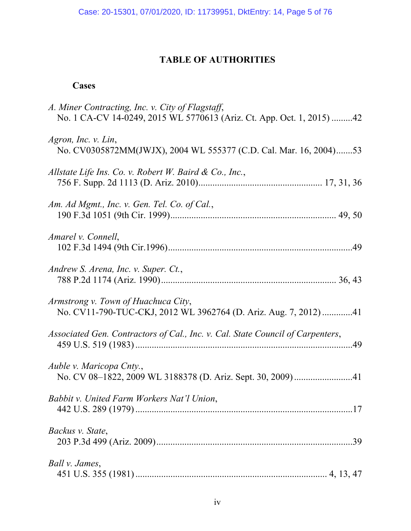### **TABLE OF AUTHORITIES**

### **Cases**

| A. Miner Contracting, Inc. v. City of Flagstaff,<br>No. 1 CA-CV 14-0249, 2015 WL 5770613 (Ariz. Ct. App. Oct. 1, 2015) 42 |
|---------------------------------------------------------------------------------------------------------------------------|
| Agron, Inc. v. Lin,<br>No. CV0305872MM(JWJX), 2004 WL 555377 (C.D. Cal. Mar. 16, 2004)53                                  |
| Allstate Life Ins. Co. v. Robert W. Baird & Co., Inc.,                                                                    |
| Am. Ad Mgmt., Inc. v. Gen. Tel. Co. of Cal.,                                                                              |
| Amarel v. Connell,                                                                                                        |
| Andrew S. Arena, Inc. v. Super. Ct.,                                                                                      |
| Armstrong v. Town of Huachuca City,<br>No. CV11-790-TUC-CKJ, 2012 WL 3962764 (D. Ariz. Aug. 7, 2012) 41                   |
| Associated Gen. Contractors of Cal., Inc. v. Cal. State Council of Carpenters,                                            |
| Auble v. Maricopa Cnty.,<br>No. CV 08-1822, 2009 WL 3188378 (D. Ariz. Sept. 30, 2009)41                                   |
| Babbit v. United Farm Workers Nat'l Union,                                                                                |
| Backus v. State,                                                                                                          |
| Ball v. James,                                                                                                            |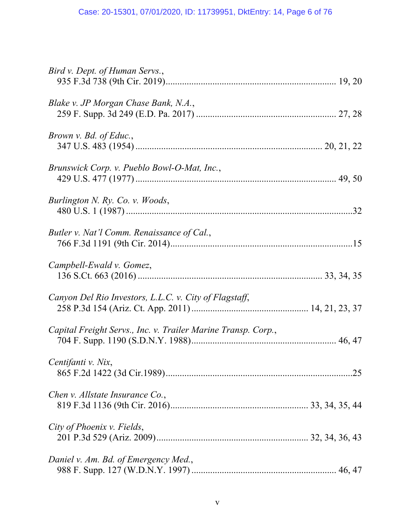| Bird v. Dept. of Human Servs.,                                |
|---------------------------------------------------------------|
| Blake v. JP Morgan Chase Bank, N.A.,                          |
| Brown v. Bd. of Educ.,                                        |
| Brunswick Corp. v. Pueblo Bowl-O-Mat, Inc.,                   |
| Burlington N. Ry. Co. v. Woods,                               |
| Butler v. Nat'l Comm. Renaissance of Cal.,                    |
| Campbell-Ewald v. Gomez,                                      |
| Canyon Del Rio Investors, L.L.C. v. City of Flagstaff,        |
| Capital Freight Servs., Inc. v. Trailer Marine Transp. Corp., |
| Centifanti v. Nix,                                            |
| Chen v. Allstate Insurance Co.,                               |
| City of Phoenix v. Fields,                                    |
| Daniel v. Am. Bd. of Emergency Med.,                          |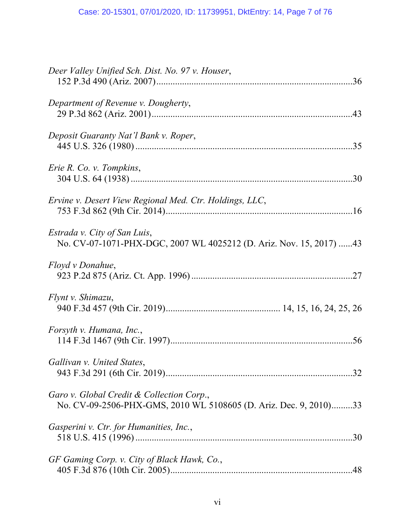| Deer Valley Unified Sch. Dist. No. 97 v. Houser,                                                               |
|----------------------------------------------------------------------------------------------------------------|
| Department of Revenue v. Dougherty,                                                                            |
| Deposit Guaranty Nat'l Bank v. Roper,                                                                          |
| Erie R. Co. v. Tompkins,                                                                                       |
| Ervine v. Desert View Regional Med. Ctr. Holdings, LLC,                                                        |
| Estrada v. City of San Luis,<br>No. CV-07-1071-PHX-DGC, 2007 WL 4025212 (D. Ariz. Nov. 15, 2017) 43            |
| Floyd v Donahue,                                                                                               |
| Flynt v. Shimazu,                                                                                              |
| Forsyth v. Humana, Inc.,                                                                                       |
| Gallivan v. United States,                                                                                     |
| Garo v. Global Credit & Collection Corp.,<br>No. CV-09-2506-PHX-GMS, 2010 WL 5108605 (D. Ariz. Dec. 9, 2010)33 |
| Gasperini v. Ctr. for Humanities, Inc.,                                                                        |
| GF Gaming Corp. v. City of Black Hawk, Co.,                                                                    |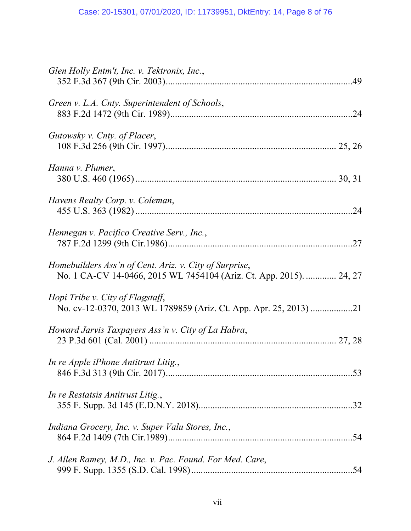| Glen Holly Entm't, Inc. v. Tektronix, Inc.,                                                                                   |
|-------------------------------------------------------------------------------------------------------------------------------|
| Green v. L.A. Cnty. Superintendent of Schools,                                                                                |
| Gutowsky v. Cnty. of Placer,                                                                                                  |
| Hanna v. Plumer,                                                                                                              |
| Havens Realty Corp. v. Coleman,                                                                                               |
| Hennegan v. Pacifico Creative Serv., Inc.,                                                                                    |
| Homebuilders Ass'n of Cent. Ariz. v. City of Surprise,<br>No. 1 CA-CV 14-0466, 2015 WL 7454104 (Ariz. Ct. App. 2015).  24, 27 |
| Hopi Tribe v. City of Flagstaff,                                                                                              |
| Howard Jarvis Taxpayers Ass'n v. City of La Habra,                                                                            |
| In re Apple iPhone Antitrust Litig.,                                                                                          |
| In re Restatsis Antitrust Litig.,                                                                                             |
| Indiana Grocery, Inc. v. Super Valu Stores, Inc.,                                                                             |
| J. Allen Ramey, M.D., Inc. v. Pac. Found. For Med. Care,                                                                      |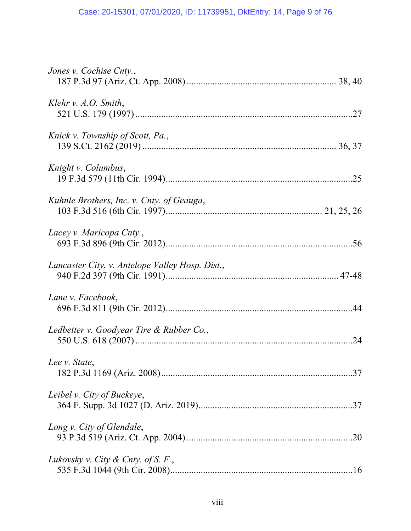| Jones v. Cochise Cnty.,                         |
|-------------------------------------------------|
| Klehr v. $A.O.$ Smith,                          |
| Knick v. Township of Scott, Pa.,                |
| Knight v. Columbus,                             |
| Kuhnle Brothers, Inc. v. Cnty. of Geauga,       |
| Lacey v. Maricopa Cnty.,                        |
| Lancaster City. v. Antelope Valley Hosp. Dist., |
| Lane v. Facebook,                               |
| Ledbetter v. Goodyear Tire & Rubber Co.,        |
| Lee v. State,                                   |
| Leibel v. City of Buckeye,                      |
| Long v. City of Glendale,                       |
| Lukovsky v. City & Cnty. of S. F.,              |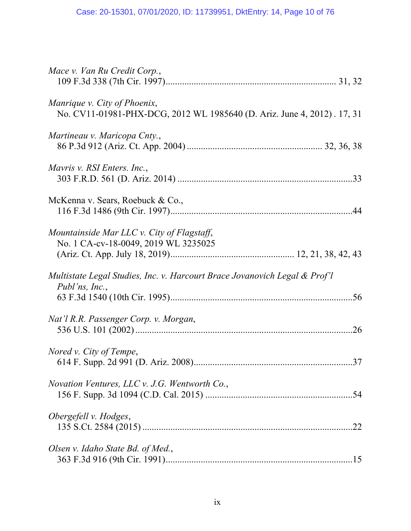| Mace v. Van Ru Credit Corp.,                                                                            |
|---------------------------------------------------------------------------------------------------------|
| Manrique v. City of Phoenix,<br>No. CV11-01981-PHX-DCG, 2012 WL 1985640 (D. Ariz. June 4, 2012). 17, 31 |
| Martineau v. Maricopa Cnty.,                                                                            |
| Mayris v. RSI Enters. Inc.,                                                                             |
| McKenna v. Sears, Roebuck & Co.,                                                                        |
| Mountainside Mar LLC v. City of Flagstaff,<br>No. 1 CA-cv-18-0049, 2019 WL 3235025                      |
| Multistate Legal Studies, Inc. v. Harcourt Brace Jovanovich Legal & Prof'l<br>Publ'ns, Inc.,            |
| Nat'l R.R. Passenger Corp. v. Morgan,                                                                   |
| Nored v. City of Tempe,                                                                                 |
| Novation Ventures, LLC v. J.G. Wentworth Co.,                                                           |
| Obergefell v. Hodges,                                                                                   |
| Olsen v. Idaho State Bd. of Med.,                                                                       |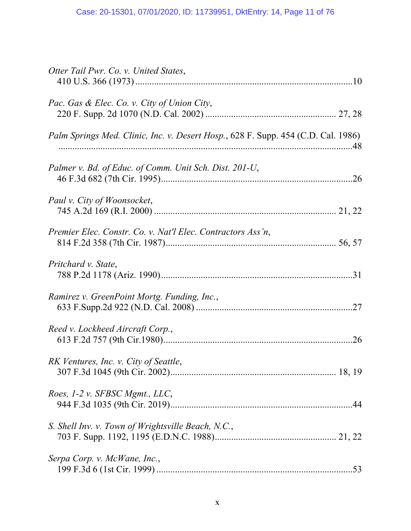| Otter Tail Pwr. Co. v. United States,                                                     |
|-------------------------------------------------------------------------------------------|
| Pac. Gas & Elec. Co. v. City of Union City,                                               |
| <i>Palm Springs Med. Clinic, Inc. v. Desert Hosp.</i> , 628 F. Supp. 454 (C.D. Cal. 1986) |
| Palmer v. Bd. of Educ. of Comm. Unit Sch. Dist. 201-U,                                    |
| Paul v. City of Woonsocket,                                                               |
| Premier Elec. Constr. Co. v. Nat'l Elec. Contractors Ass'n,                               |
| Pritchard v. State,                                                                       |
| Ramirez v. GreenPoint Mortg. Funding, Inc.,                                               |
| Reed v. Lockheed Aircraft Corp.,<br>.26                                                   |
| RK Ventures, Inc. v. City of Seattle,                                                     |
| Roes, 1-2 v. SFBSC Mgmt., LLC,                                                            |
| S. Shell Inv. v. Town of Wrightsville Beach, N.C.,                                        |
| Serpa Corp. v. McWane, Inc.,                                                              |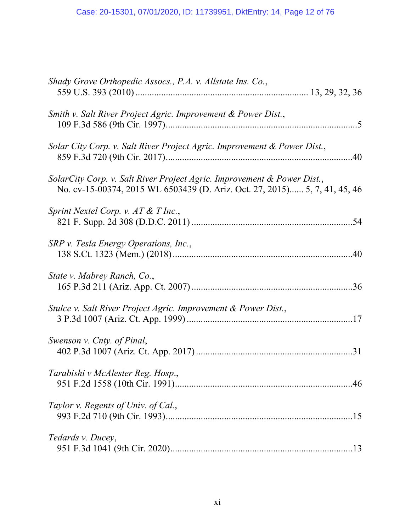| Shady Grove Orthopedic Assocs., P.A. v. Allstate Ins. Co.,                                                                                            |
|-------------------------------------------------------------------------------------------------------------------------------------------------------|
| Smith v. Salt River Project Agric. Improvement & Power Dist.,                                                                                         |
| Solar City Corp. v. Salt River Project Agric. Improvement & Power Dist.,                                                                              |
| SolarCity Corp. v. Salt River Project Agric. Improvement & Power Dist.,<br>No. cv-15-00374, 2015 WL 6503439 (D. Ariz. Oct. 27, 2015) 5, 7, 41, 45, 46 |
| Sprint Nextel Corp. v. AT & T Inc.,                                                                                                                   |
| SRP v. Tesla Energy Operations, Inc.,                                                                                                                 |
| State v. Mabrey Ranch, Co.,                                                                                                                           |
| Stulce v. Salt River Project Agric. Improvement & Power Dist.,                                                                                        |
| Swenson v. Cnty. of Pinal,                                                                                                                            |
| Tarabishi v McAlester Reg. Hosp.,                                                                                                                     |
| Taylor v. Regents of Univ. of Cal.,                                                                                                                   |
| Tedards v. Ducey,                                                                                                                                     |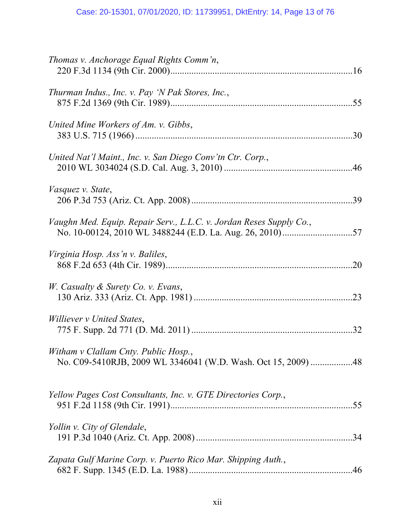| Thomas v. Anchorage Equal Rights Comm'n,                                                              |
|-------------------------------------------------------------------------------------------------------|
| Thurman Indus., Inc. v. Pay 'N Pak Stores, Inc.,                                                      |
| United Mine Workers of Am. v. Gibbs,<br>.30                                                           |
| United Nat'l Maint., Inc. v. San Diego Conv'tn Ctr. Corp.,                                            |
| <i>Vasquez v. State,</i>                                                                              |
| Vaughn Med. Equip. Repair Serv., L.L.C. v. Jordan Reses Supply Co.,                                   |
| Virginia Hosp. Ass 'n v. Baliles,<br>.20                                                              |
| W. Casualty & Surety Co. v. Evans,<br>.23                                                             |
| <i>Williever v United States,</i>                                                                     |
| Witham v Clallam Cnty. Public Hosp.,<br>No. C09-5410RJB, 2009 WL 3346041 (W.D. Wash. Oct 15, 2009) 48 |
| Yellow Pages Cost Consultants, Inc. v. GTE Directories Corp.,                                         |
| Yollin v. City of Glendale,<br>.34                                                                    |
| Zapata Gulf Marine Corp. v. Puerto Rico Mar. Shipping Auth.,                                          |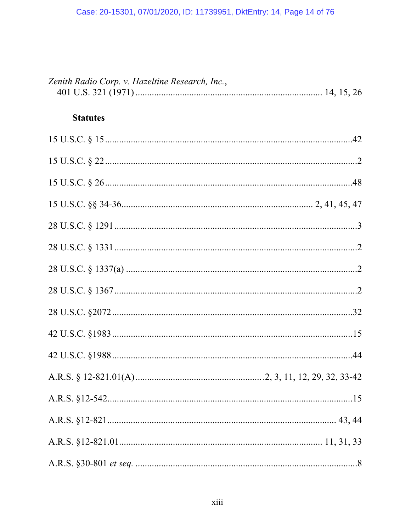| Zenith Radio Corp. v. Hazeltine Research, Inc., |  |
|-------------------------------------------------|--|
| <b>Statutes</b>                                 |  |
|                                                 |  |
|                                                 |  |
|                                                 |  |
|                                                 |  |
|                                                 |  |
|                                                 |  |
|                                                 |  |
|                                                 |  |
|                                                 |  |
|                                                 |  |
|                                                 |  |
|                                                 |  |
|                                                 |  |
|                                                 |  |
|                                                 |  |
|                                                 |  |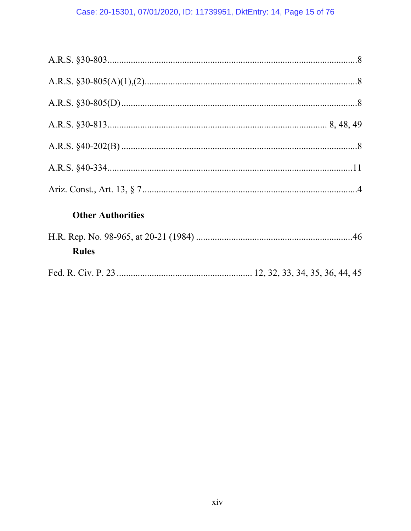## Case: 20-15301, 07/01/2020, ID: 11739951, DktEntry: 14, Page 15 of 76

| <b>Other Authorities</b> |  |
|--------------------------|--|
| <b>Rules</b>             |  |
|                          |  |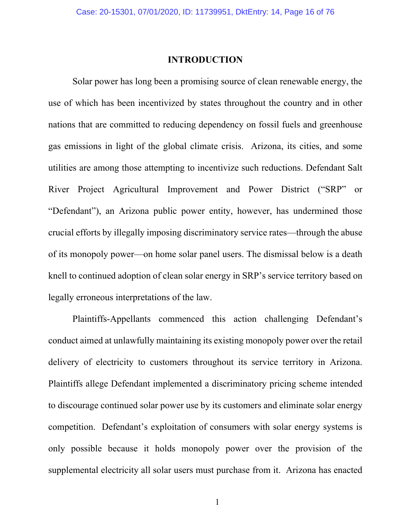### **INTRODUCTION**

Solar power has long been a promising source of clean renewable energy, the use of which has been incentivized by states throughout the country and in other nations that are committed to reducing dependency on fossil fuels and greenhouse gas emissions in light of the global climate crisis. Arizona, its cities, and some utilities are among those attempting to incentivize such reductions. Defendant Salt River Project Agricultural Improvement and Power District ("SRP" or "Defendant"), an Arizona public power entity, however, has undermined those crucial efforts by illegally imposing discriminatory service rates—through the abuse of its monopoly power—on home solar panel users. The dismissal below is a death knell to continued adoption of clean solar energy in SRP's service territory based on legally erroneous interpretations of the law.

Plaintiffs-Appellants commenced this action challenging Defendant's conduct aimed at unlawfully maintaining its existing monopoly power over the retail delivery of electricity to customers throughout its service territory in Arizona. Plaintiffs allege Defendant implemented a discriminatory pricing scheme intended to discourage continued solar power use by its customers and eliminate solar energy competition. Defendant's exploitation of consumers with solar energy systems is only possible because it holds monopoly power over the provision of the supplemental electricity all solar users must purchase from it. Arizona has enacted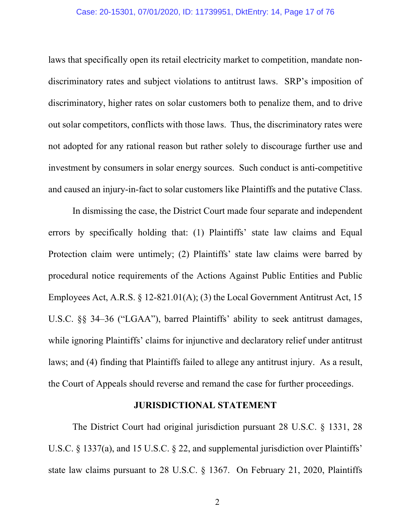laws that specifically open its retail electricity market to competition, mandate nondiscriminatory rates and subject violations to antitrust laws. SRP's imposition of discriminatory, higher rates on solar customers both to penalize them, and to drive out solar competitors, conflicts with those laws. Thus, the discriminatory rates were not adopted for any rational reason but rather solely to discourage further use and investment by consumers in solar energy sources. Such conduct is anti-competitive and caused an injury-in-fact to solar customers like Plaintiffs and the putative Class.

In dismissing the case, the District Court made four separate and independent errors by specifically holding that: (1) Plaintiffs' state law claims and Equal Protection claim were untimely; (2) Plaintiffs' state law claims were barred by procedural notice requirements of the Actions Against Public Entities and Public Employees Act, A.R.S. § 12-821.01(A); (3) the Local Government Antitrust Act, 15 U.S.C. §§ 34–36 ("LGAA"), barred Plaintiffs' ability to seek antitrust damages, while ignoring Plaintiffs' claims for injunctive and declaratory relief under antitrust laws; and (4) finding that Plaintiffs failed to allege any antitrust injury. As a result, the Court of Appeals should reverse and remand the case for further proceedings.

### **JURISDICTIONAL STATEMENT**

The District Court had original jurisdiction pursuant 28 U.S.C. § 1331, 28 U.S.C. § 1337(a), and 15 U.S.C. § 22, and supplemental jurisdiction over Plaintiffs' state law claims pursuant to 28 U.S.C. § 1367. On February 21, 2020, Plaintiffs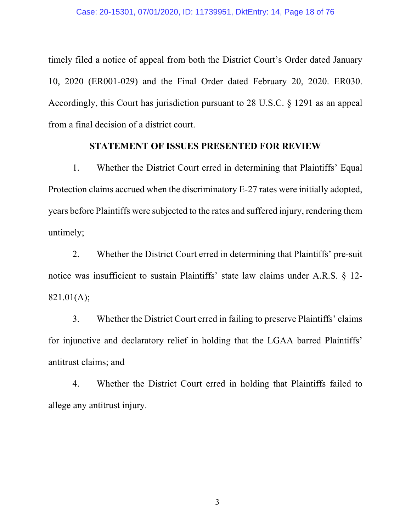timely filed a notice of appeal from both the District Court's Order dated January 10, 2020 (ER001-029) and the Final Order dated February 20, 2020. ER030. Accordingly, this Court has jurisdiction pursuant to 28 U.S.C. § 1291 as an appeal from a final decision of a district court.

### **STATEMENT OF ISSUES PRESENTED FOR REVIEW**

1. Whether the District Court erred in determining that Plaintiffs' Equal Protection claims accrued when the discriminatory E-27 rates were initially adopted, years before Plaintiffs were subjected to the rates and suffered injury, rendering them untimely;

2. Whether the District Court erred in determining that Plaintiffs' pre-suit notice was insufficient to sustain Plaintiffs' state law claims under A.R.S. § 12- 821.01(A);

3. Whether the District Court erred in failing to preserve Plaintiffs' claims for injunctive and declaratory relief in holding that the LGAA barred Plaintiffs' antitrust claims; and

4. Whether the District Court erred in holding that Plaintiffs failed to allege any antitrust injury.

3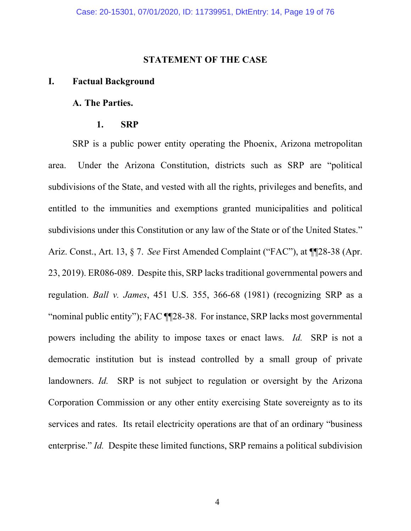### **STATEMENT OF THE CASE**

#### **I. Factual Background**

### **A. The Parties.**

#### **1. SRP**

SRP is a public power entity operating the Phoenix, Arizona metropolitan area. Under the Arizona Constitution, districts such as SRP are "political subdivisions of the State, and vested with all the rights, privileges and benefits, and entitled to the immunities and exemptions granted municipalities and political subdivisions under this Constitution or any law of the State or of the United States." Ariz. Const., Art. 13, § 7. *See* First Amended Complaint ("FAC"), at ¶¶28-38 (Apr. 23, 2019). ER086-089. Despite this, SRP lacks traditional governmental powers and regulation. *Ball v. James*, 451 U.S. 355, 366-68 (1981) (recognizing SRP as a "nominal public entity"); FAC ¶¶28-38. For instance, SRP lacks most governmental powers including the ability to impose taxes or enact laws. *Id.* SRP is not a democratic institution but is instead controlled by a small group of private landowners. *Id.* SRP is not subject to regulation or oversight by the Arizona Corporation Commission or any other entity exercising State sovereignty as to its services and rates. Its retail electricity operations are that of an ordinary "business enterprise." *Id.* Despite these limited functions, SRP remains a political subdivision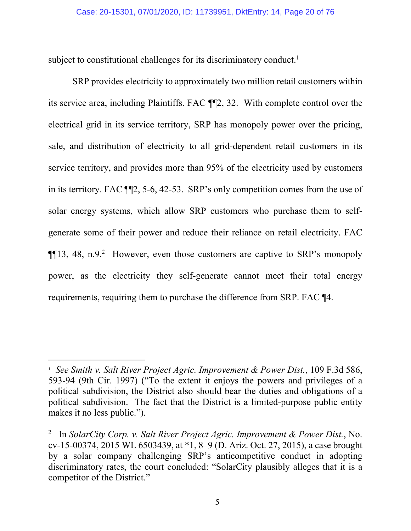subject to constitutional challenges for its discriminatory conduct.<sup>1</sup>

SRP provides electricity to approximately two million retail customers within its service area, including Plaintiffs. FAC ¶¶2, 32. With complete control over the electrical grid in its service territory, SRP has monopoly power over the pricing, sale, and distribution of electricity to all grid-dependent retail customers in its service territory, and provides more than 95% of the electricity used by customers in its territory. FAC ¶¶2, 5-6, 42-53. SRP's only competition comes from the use of solar energy systems, which allow SRP customers who purchase them to selfgenerate some of their power and reduce their reliance on retail electricity. FAC  $\P$ [13, 48, n.9.<sup>2</sup> However, even those customers are captive to SRP's monopoly power, as the electricity they self-generate cannot meet their total energy requirements, requiring them to purchase the difference from SRP. FAC ¶4.

<sup>&</sup>lt;sup>1</sup> See Smith v. Salt River Project Agric. Improvement & Power Dist., 109 F.3d 586, 593-94 (9th Cir. 1997) ("To the extent it enjoys the powers and privileges of a political subdivision, the District also should bear the duties and obligations of a political subdivision. The fact that the District is a limited-purpose public entity makes it no less public.").

<sup>2</sup> In *SolarCity Corp. v. Salt River Project Agric. Improvement & Power Dist.*, No. cv-15-00374, 2015 WL 6503439, at \*1, 8–9 (D. Ariz. Oct. 27, 2015), a case brought by a solar company challenging SRP's anticompetitive conduct in adopting discriminatory rates, the court concluded: "SolarCity plausibly alleges that it is a competitor of the District."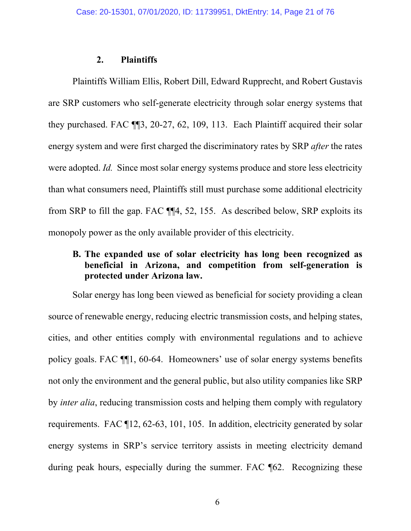### **2. Plaintiffs**

Plaintiffs William Ellis, Robert Dill, Edward Rupprecht, and Robert Gustavis are SRP customers who self-generate electricity through solar energy systems that they purchased. FAC ¶¶3, 20-27, 62, 109, 113. Each Plaintiff acquired their solar energy system and were first charged the discriminatory rates by SRP *after* the rates were adopted. *Id.* Since most solar energy systems produce and store less electricity than what consumers need, Plaintiffs still must purchase some additional electricity from SRP to fill the gap. FAC ¶¶4, 52, 155. As described below, SRP exploits its monopoly power as the only available provider of this electricity.

### **B. The expanded use of solar electricity has long been recognized as beneficial in Arizona, and competition from self-generation is protected under Arizona law.**

Solar energy has long been viewed as beneficial for society providing a clean source of renewable energy, reducing electric transmission costs, and helping states, cities, and other entities comply with environmental regulations and to achieve policy goals. FAC ¶¶1, 60-64. Homeowners' use of solar energy systems benefits not only the environment and the general public, but also utility companies like SRP by *inter alia*, reducing transmission costs and helping them comply with regulatory requirements. FAC ¶12, 62-63, 101, 105. In addition, electricity generated by solar energy systems in SRP's service territory assists in meeting electricity demand during peak hours, especially during the summer. FAC ¶62. Recognizing these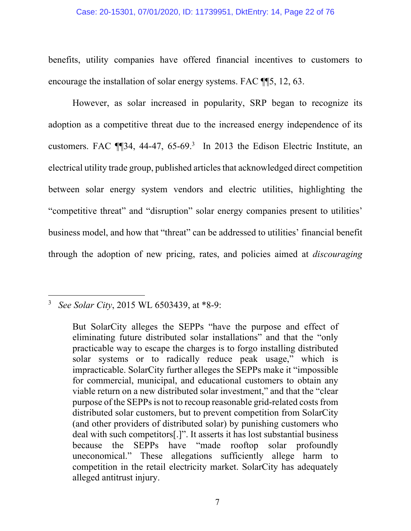### Case: 20-15301, 07/01/2020, ID: 11739951, DktEntry: 14, Page 22 of 76

benefits, utility companies have offered financial incentives to customers to encourage the installation of solar energy systems. FAC ¶¶5, 12, 63.

However, as solar increased in popularity, SRP began to recognize its adoption as a competitive threat due to the increased energy independence of its customers. FAC  $\P$  $[34, 44-47, 65-69.3]$  In 2013 the Edison Electric Institute, an electrical utility trade group, published articles that acknowledged direct competition between solar energy system vendors and electric utilities, highlighting the "competitive threat" and "disruption" solar energy companies present to utilities' business model, and how that "threat" can be addressed to utilities' financial benefit through the adoption of new pricing, rates, and policies aimed at *discouraging*

<sup>3</sup> *See Solar City*, 2015 WL 6503439, at \*8-9:

But SolarCity alleges the SEPPs "have the purpose and effect of eliminating future distributed solar installations" and that the "only practicable way to escape the charges is to forgo installing distributed solar systems or to radically reduce peak usage," which is impracticable. SolarCity further alleges the SEPPs make it "impossible for commercial, municipal, and educational customers to obtain any viable return on a new distributed solar investment," and that the "clear purpose of the SEPPs is not to recoup reasonable grid-related costs from distributed solar customers, but to prevent competition from SolarCity (and other providers of distributed solar) by punishing customers who deal with such competitors[.]". It asserts it has lost substantial business because the SEPPs have "made rooftop solar profoundly uneconomical." These allegations sufficiently allege harm to competition in the retail electricity market. SolarCity has adequately alleged antitrust injury.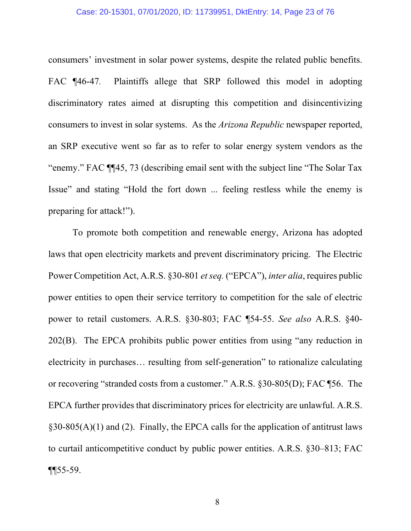#### Case: 20-15301, 07/01/2020, ID: 11739951, DktEntry: 14, Page 23 of 76

consumers' investment in solar power systems, despite the related public benefits. FAC ¶46-47*.* Plaintiffs allege that SRP followed this model in adopting discriminatory rates aimed at disrupting this competition and disincentivizing consumers to invest in solar systems. As the *Arizona Republic* newspaper reported, an SRP executive went so far as to refer to solar energy system vendors as the "enemy." FAC ¶¶45, 73 (describing email sent with the subject line "The Solar Tax Issue" and stating "Hold the fort down ... feeling restless while the enemy is preparing for attack!").

To promote both competition and renewable energy, Arizona has adopted laws that open electricity markets and prevent discriminatory pricing. The Electric Power Competition Act, A.R.S. §30-801 *et seq.* ("EPCA"), *inter alia*, requires public power entities to open their service territory to competition for the sale of electric power to retail customers. A.R.S. §30-803; FAC ¶54-55. *See also* A.R.S. §40- 202(B). The EPCA prohibits public power entities from using "any reduction in electricity in purchases… resulting from self-generation" to rationalize calculating or recovering "stranded costs from a customer." A.R.S. §30-805(D); FAC ¶56. The EPCA further provides that discriminatory prices for electricity are unlawful. A.R.S.  $§30-805(A)(1)$  and (2). Finally, the EPCA calls for the application of antitrust laws to curtail anticompetitive conduct by public power entities. A.R.S. §30–813; FAC  $\P$   $\sqrt{ }$  55-59.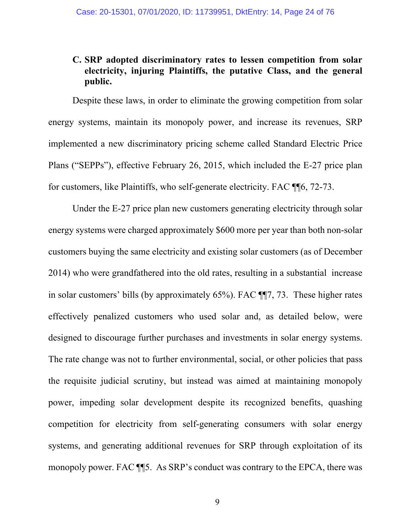### **C. SRP adopted discriminatory rates to lessen competition from solar electricity, injuring Plaintiffs, the putative Class, and the general public.**

Despite these laws, in order to eliminate the growing competition from solar energy systems, maintain its monopoly power, and increase its revenues, SRP implemented a new discriminatory pricing scheme called Standard Electric Price Plans ("SEPPs"), effective February 26, 2015, which included the E-27 price plan for customers, like Plaintiffs, who self-generate electricity. FAC ¶¶6, 72-73.

Under the E-27 price plan new customers generating electricity through solar energy systems were charged approximately \$600 more per year than both non-solar customers buying the same electricity and existing solar customers (as of December 2014) who were grandfathered into the old rates, resulting in a substantial increase in solar customers' bills (by approximately 65%). FAC ¶¶7, 73. These higher rates effectively penalized customers who used solar and, as detailed below, were designed to discourage further purchases and investments in solar energy systems. The rate change was not to further environmental, social, or other policies that pass the requisite judicial scrutiny, but instead was aimed at maintaining monopoly power, impeding solar development despite its recognized benefits, quashing competition for electricity from self-generating consumers with solar energy systems, and generating additional revenues for SRP through exploitation of its monopoly power. FAC ¶¶5. As SRP's conduct was contrary to the EPCA, there was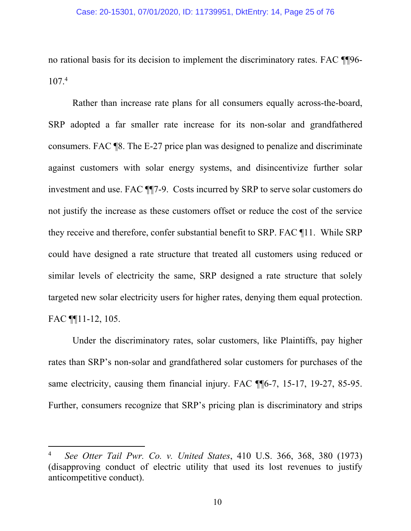no rational basis for its decision to implement the discriminatory rates. FAC ¶¶96- 107.4

Rather than increase rate plans for all consumers equally across-the-board, SRP adopted a far smaller rate increase for its non-solar and grandfathered consumers. FAC ¶8. The E-27 price plan was designed to penalize and discriminate against customers with solar energy systems, and disincentivize further solar investment and use. FAC ¶¶7-9. Costs incurred by SRP to serve solar customers do not justify the increase as these customers offset or reduce the cost of the service they receive and therefore, confer substantial benefit to SRP. FAC ¶11. While SRP could have designed a rate structure that treated all customers using reduced or similar levels of electricity the same, SRP designed a rate structure that solely targeted new solar electricity users for higher rates, denying them equal protection. FAC ¶¶11-12, 105.

Under the discriminatory rates, solar customers, like Plaintiffs, pay higher rates than SRP's non-solar and grandfathered solar customers for purchases of the same electricity, causing them financial injury. FAC  $\P$ [6-7, 15-17, 19-27, 85-95. Further, consumers recognize that SRP's pricing plan is discriminatory and strips

<sup>4</sup> *See Otter Tail Pwr. Co. v. United States*, 410 U.S. 366, 368, 380 (1973) (disapproving conduct of electric utility that used its lost revenues to justify anticompetitive conduct).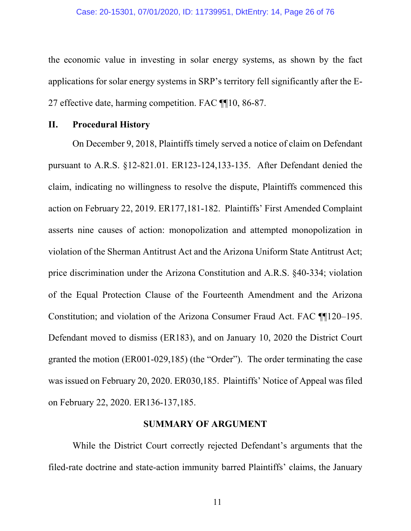the economic value in investing in solar energy systems, as shown by the fact applications for solar energy systems in SRP's territory fell significantly after the E-27 effective date, harming competition. FAC ¶¶10, 86-87.

### **II. Procedural History**

On December 9, 2018, Plaintiffs timely served a notice of claim on Defendant pursuant to A.R.S. §12-821.01. ER123-124,133-135. After Defendant denied the claim, indicating no willingness to resolve the dispute, Plaintiffs commenced this action on February 22, 2019. ER177,181-182. Plaintiffs' First Amended Complaint asserts nine causes of action: monopolization and attempted monopolization in violation of the Sherman Antitrust Act and the Arizona Uniform State Antitrust Act; price discrimination under the Arizona Constitution and A.R.S. §40-334; violation of the Equal Protection Clause of the Fourteenth Amendment and the Arizona Constitution; and violation of the Arizona Consumer Fraud Act. FAC ¶¶120–195. Defendant moved to dismiss (ER183), and on January 10, 2020 the District Court granted the motion (ER001-029,185) (the "Order"). The order terminating the case was issued on February 20, 2020. ER030,185. Plaintiffs' Notice of Appeal was filed on February 22, 2020. ER136-137,185.

### **SUMMARY OF ARGUMENT**

While the District Court correctly rejected Defendant's arguments that the filed-rate doctrine and state-action immunity barred Plaintiffs' claims, the January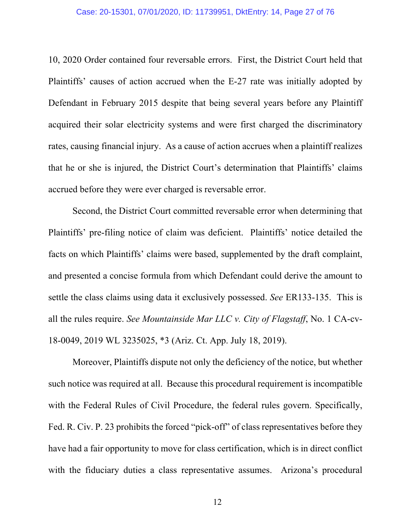10, 2020 Order contained four reversable errors. First, the District Court held that Plaintiffs' causes of action accrued when the E-27 rate was initially adopted by Defendant in February 2015 despite that being several years before any Plaintiff acquired their solar electricity systems and were first charged the discriminatory rates, causing financial injury. As a cause of action accrues when a plaintiff realizes that he or she is injured, the District Court's determination that Plaintiffs' claims accrued before they were ever charged is reversable error.

Second, the District Court committed reversable error when determining that Plaintiffs' pre-filing notice of claim was deficient. Plaintiffs' notice detailed the facts on which Plaintiffs' claims were based, supplemented by the draft complaint, and presented a concise formula from which Defendant could derive the amount to settle the class claims using data it exclusively possessed. *See* ER133-135. This is all the rules require. *See Mountainside Mar LLC v. City of Flagstaff*, No. 1 CA-cv-18-0049, 2019 WL 3235025, \*3 (Ariz. Ct. App. July 18, 2019).

Moreover, Plaintiffs dispute not only the deficiency of the notice, but whether such notice was required at all. Because this procedural requirement is incompatible with the Federal Rules of Civil Procedure, the federal rules govern. Specifically, Fed. R. Civ. P. 23 prohibits the forced "pick-off" of class representatives before they have had a fair opportunity to move for class certification, which is in direct conflict with the fiduciary duties a class representative assumes. Arizona's procedural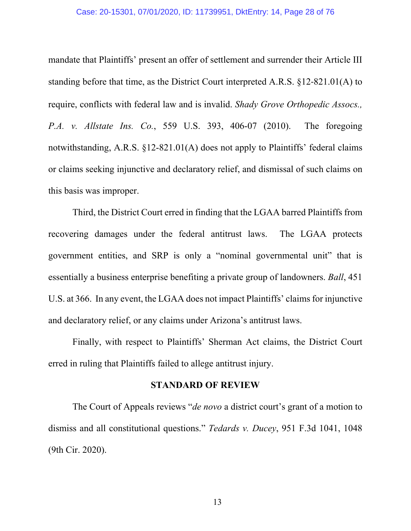#### Case: 20-15301, 07/01/2020, ID: 11739951, DktEntry: 14, Page 28 of 76

mandate that Plaintiffs' present an offer of settlement and surrender their Article III standing before that time, as the District Court interpreted A.R.S. §12‐821.01(A) to require, conflicts with federal law and is invalid. *Shady Grove Orthopedic Assocs., P.A. v. Allstate Ins. Co.*, 559 U.S. 393, 406-07 (2010). The foregoing notwithstanding, A.R.S. §12-821.01(A) does not apply to Plaintiffs' federal claims or claims seeking injunctive and declaratory relief, and dismissal of such claims on this basis was improper.

Third, the District Court erred in finding that the LGAA barred Plaintiffs from recovering damages under the federal antitrust laws. The LGAA protects government entities, and SRP is only a "nominal governmental unit" that is essentially a business enterprise benefiting a private group of landowners. *Ball*, 451 U.S. at 366. In any event, the LGAA does not impact Plaintiffs' claims for injunctive and declaratory relief, or any claims under Arizona's antitrust laws.

Finally, with respect to Plaintiffs' Sherman Act claims, the District Court erred in ruling that Plaintiffs failed to allege antitrust injury.

### **STANDARD OF REVIEW**

The Court of Appeals reviews "*de novo* a district court's grant of a motion to dismiss and all constitutional questions." *Tedards v. Ducey*, 951 F.3d 1041, 1048 (9th Cir. 2020).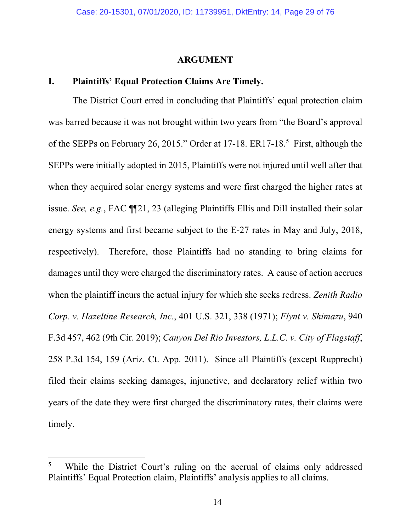### **ARGUMENT**

### **I. Plaintiffs' Equal Protection Claims Are Timely.**

The District Court erred in concluding that Plaintiffs' equal protection claim was barred because it was not brought within two years from "the Board's approval of the SEPPs on February 26, 2015." Order at 17-18. ER17-18.<sup>5</sup> First, although the SEPPs were initially adopted in 2015, Plaintiffs were not injured until well after that when they acquired solar energy systems and were first charged the higher rates at issue. *See, e.g.*, FAC ¶¶21, 23 (alleging Plaintiffs Ellis and Dill installed their solar energy systems and first became subject to the E-27 rates in May and July, 2018, respectively). Therefore, those Plaintiffs had no standing to bring claims for damages until they were charged the discriminatory rates. A cause of action accrues when the plaintiff incurs the actual injury for which she seeks redress. *Zenith Radio Corp. v. Hazeltine Research, Inc.*, 401 U.S. 321, 338 (1971); *Flynt v. Shimazu*, 940 F.3d 457, 462 (9th Cir. 2019); *Canyon Del Rio Investors, L.L.C. v. City of Flagstaff*, 258 P.3d 154, 159 (Ariz. Ct. App. 2011). Since all Plaintiffs (except Rupprecht) filed their claims seeking damages, injunctive, and declaratory relief within two years of the date they were first charged the discriminatory rates, their claims were timely.

<sup>5</sup> While the District Court's ruling on the accrual of claims only addressed Plaintiffs' Equal Protection claim, Plaintiffs' analysis applies to all claims.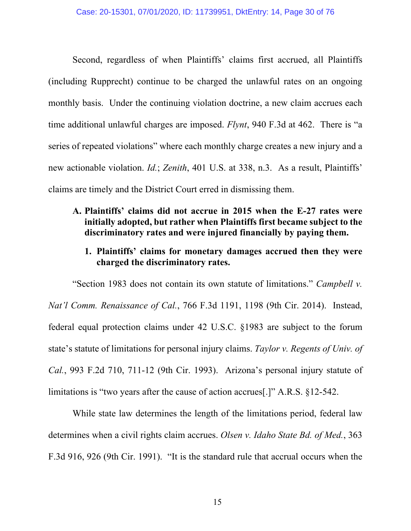Second, regardless of when Plaintiffs' claims first accrued, all Plaintiffs (including Rupprecht) continue to be charged the unlawful rates on an ongoing monthly basis. Under the continuing violation doctrine, a new claim accrues each time additional unlawful charges are imposed. *Flynt*, 940 F.3d at 462. There is "a series of repeated violations" where each monthly charge creates a new injury and a new actionable violation. *Id.*; *Zenith*, 401 U.S. at 338, n.3. As a result, Plaintiffs' claims are timely and the District Court erred in dismissing them.

### **A. Plaintiffs' claims did not accrue in 2015 when the E-27 rates were initially adopted, but rather when Plaintiffs first became subject to the discriminatory rates and were injured financially by paying them.**

**1. Plaintiffs' claims for monetary damages accrued then they were charged the discriminatory rates.** 

"Section 1983 does not contain its own statute of limitations." *Campbell v. Nat'l Comm. Renaissance of Cal.*, 766 F.3d 1191, 1198 (9th Cir. 2014). Instead, federal equal protection claims under 42 U.S.C. §1983 are subject to the forum state's statute of limitations for personal injury claims. *Taylor v. Regents of Univ. of Cal.*, 993 F.2d 710, 711-12 (9th Cir. 1993). Arizona's personal injury statute of limitations is "two years after the cause of action accrues[.]" A.R.S. §12-542.

While state law determines the length of the limitations period, federal law determines when a civil rights claim accrues. *Olsen v. Idaho State Bd. of Med.*, 363 F.3d 916, 926 (9th Cir. 1991). "It is the standard rule that accrual occurs when the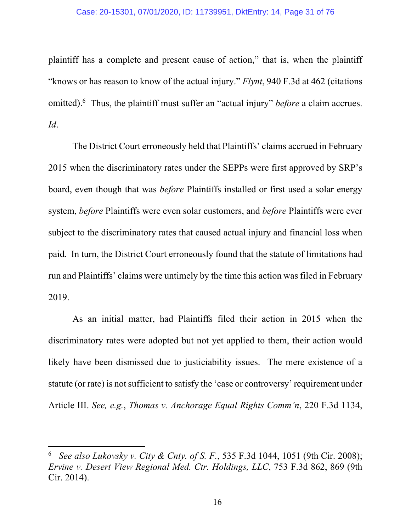#### Case: 20-15301, 07/01/2020, ID: 11739951, DktEntry: 14, Page 31 of 76

plaintiff has a complete and present cause of action," that is, when the plaintiff "knows or has reason to know of the actual injury." *Flynt*, 940 F.3d at 462 (citations omitted).6 Thus, the plaintiff must suffer an "actual injury" *before* a claim accrues. *Id*.

The District Court erroneously held that Plaintiffs' claims accrued in February 2015 when the discriminatory rates under the SEPPs were first approved by SRP's board, even though that was *before* Plaintiffs installed or first used a solar energy system, *before* Plaintiffs were even solar customers, and *before* Plaintiffs were ever subject to the discriminatory rates that caused actual injury and financial loss when paid. In turn, the District Court erroneously found that the statute of limitations had run and Plaintiffs' claims were untimely by the time this action was filed in February 2019.

As an initial matter, had Plaintiffs filed their action in 2015 when the discriminatory rates were adopted but not yet applied to them, their action would likely have been dismissed due to justiciability issues. The mere existence of a statute (or rate) is not sufficient to satisfy the 'case or controversy' requirement under Article III. *See, e.g.*, *Thomas v. Anchorage Equal Rights Comm'n*, 220 F.3d 1134,

<sup>6</sup> *See also Lukovsky v. City & Cnty. of S. F.*, 535 F.3d 1044, 1051 (9th Cir. 2008); *Ervine v. Desert View Regional Med. Ctr. Holdings, LLC*, 753 F.3d 862, 869 (9th Cir. 2014).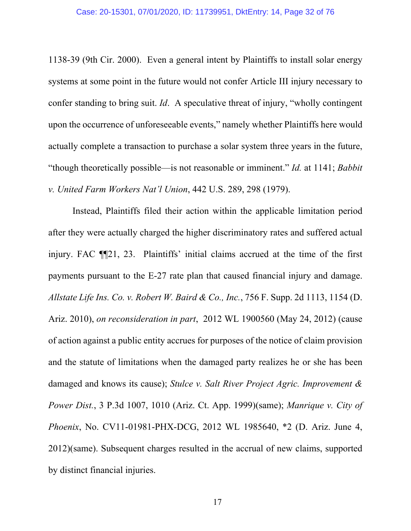1138-39 (9th Cir. 2000). Even a general intent by Plaintiffs to install solar energy systems at some point in the future would not confer Article III injury necessary to confer standing to bring suit. *Id*. A speculative threat of injury, "wholly contingent upon the occurrence of unforeseeable events," namely whether Plaintiffs here would actually complete a transaction to purchase a solar system three years in the future, "though theoretically possible—is not reasonable or imminent." *Id.* at 1141; *Babbit v. United Farm Workers Nat'l Union*, 442 U.S. 289, 298 (1979).

Instead, Plaintiffs filed their action within the applicable limitation period after they were actually charged the higher discriminatory rates and suffered actual injury. FAC ¶¶21, 23. Plaintiffs' initial claims accrued at the time of the first payments pursuant to the E-27 rate plan that caused financial injury and damage. *Allstate Life Ins. Co. v. Robert W. Baird & Co., Inc.*, 756 F. Supp. 2d 1113, 1154 (D. Ariz. 2010), *on reconsideration in part*, 2012 WL 1900560 (May 24, 2012) (cause of action against a public entity accrues for purposes of the notice of claim provision and the statute of limitations when the damaged party realizes he or she has been damaged and knows its cause); *Stulce v. Salt River Project Agric. Improvement & Power Dist.*, 3 P.3d 1007, 1010 (Ariz. Ct. App. 1999)(same); *Manrique v. City of Phoenix*, No. CV11-01981-PHX-DCG, 2012 WL 1985640, \*2 (D. Ariz. June 4, 2012)(same). Subsequent charges resulted in the accrual of new claims, supported by distinct financial injuries.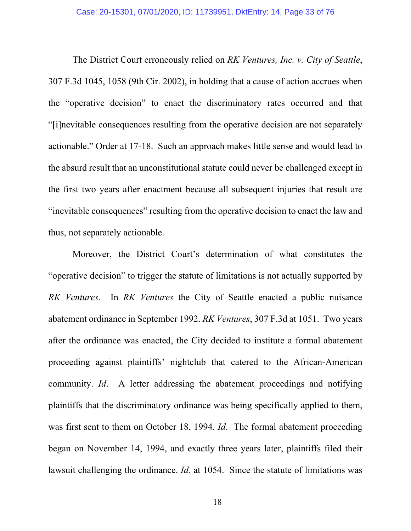The District Court erroneously relied on *RK Ventures, Inc. v. City of Seattle*, 307 F.3d 1045, 1058 (9th Cir. 2002), in holding that a cause of action accrues when the "operative decision" to enact the discriminatory rates occurred and that "[i]nevitable consequences resulting from the operative decision are not separately actionable." Order at 17-18. Such an approach makes little sense and would lead to the absurd result that an unconstitutional statute could never be challenged except in the first two years after enactment because all subsequent injuries that result are "inevitable consequences" resulting from the operative decision to enact the law and thus, not separately actionable.

Moreover, the District Court's determination of what constitutes the "operative decision" to trigger the statute of limitations is not actually supported by *RK Ventures*. In *RK Ventures* the City of Seattle enacted a public nuisance abatement ordinance in September 1992. *RK Ventures*, 307 F.3d at 1051. Two years after the ordinance was enacted, the City decided to institute a formal abatement proceeding against plaintiffs' nightclub that catered to the African-American community. *Id*. A letter addressing the abatement proceedings and notifying plaintiffs that the discriminatory ordinance was being specifically applied to them, was first sent to them on October 18, 1994. *Id*. The formal abatement proceeding began on November 14, 1994, and exactly three years later, plaintiffs filed their lawsuit challenging the ordinance. *Id*. at 1054. Since the statute of limitations was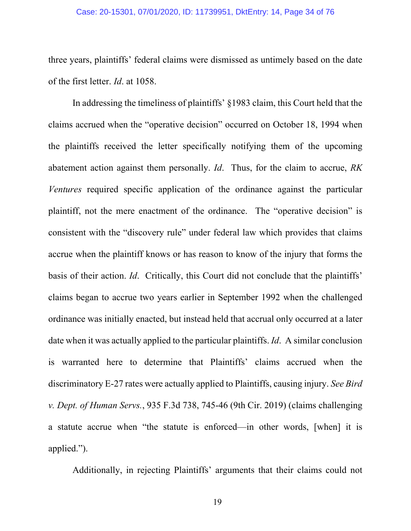#### Case: 20-15301, 07/01/2020, ID: 11739951, DktEntry: 14, Page 34 of 76

three years, plaintiffs' federal claims were dismissed as untimely based on the date of the first letter. *Id*. at 1058.

In addressing the timeliness of plaintiffs' §1983 claim, this Court held that the claims accrued when the "operative decision" occurred on October 18, 1994 when the plaintiffs received the letter specifically notifying them of the upcoming abatement action against them personally. *Id*. Thus, for the claim to accrue, *RK Ventures* required specific application of the ordinance against the particular plaintiff, not the mere enactment of the ordinance. The "operative decision" is consistent with the "discovery rule" under federal law which provides that claims accrue when the plaintiff knows or has reason to know of the injury that forms the basis of their action. *Id*. Critically, this Court did not conclude that the plaintiffs' claims began to accrue two years earlier in September 1992 when the challenged ordinance was initially enacted, but instead held that accrual only occurred at a later date when it was actually applied to the particular plaintiffs. *Id*. A similar conclusion is warranted here to determine that Plaintiffs' claims accrued when the discriminatory E-27 rates were actually applied to Plaintiffs, causing injury. *See Bird v. Dept. of Human Servs.*, 935 F.3d 738, 745-46 (9th Cir. 2019) (claims challenging a statute accrue when "the statute is enforced—in other words, [when] it is applied.").

Additionally, in rejecting Plaintiffs' arguments that their claims could not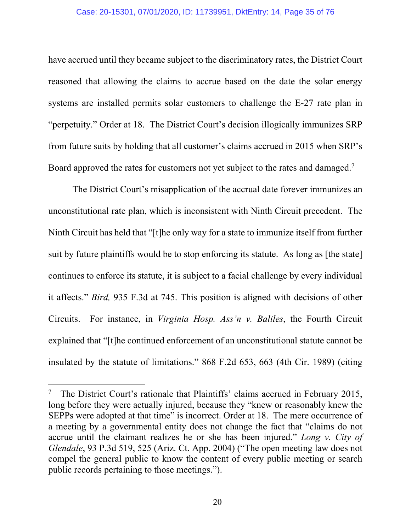### Case: 20-15301, 07/01/2020, ID: 11739951, DktEntry: 14, Page 35 of 76

have accrued until they became subject to the discriminatory rates, the District Court reasoned that allowing the claims to accrue based on the date the solar energy systems are installed permits solar customers to challenge the E-27 rate plan in "perpetuity." Order at 18. The District Court's decision illogically immunizes SRP from future suits by holding that all customer's claims accrued in 2015 when SRP's Board approved the rates for customers not yet subject to the rates and damaged.<sup>7</sup>

The District Court's misapplication of the accrual date forever immunizes an unconstitutional rate plan, which is inconsistent with Ninth Circuit precedent. The Ninth Circuit has held that "[t]he only way for a state to immunize itself from further suit by future plaintiffs would be to stop enforcing its statute. As long as [the state] continues to enforce its statute, it is subject to a facial challenge by every individual it affects." *Bird,* 935 F.3d at 745. This position is aligned with decisions of other Circuits. For instance, in *Virginia Hosp. Ass'n v. Baliles*, the Fourth Circuit explained that "[t]he continued enforcement of an unconstitutional statute cannot be insulated by the statute of limitations." 868 F.2d 653, 663 (4th Cir. 1989) (citing

<sup>7</sup> The District Court's rationale that Plaintiffs' claims accrued in February 2015, long before they were actually injured, because they "knew or reasonably knew the SEPPs were adopted at that time" is incorrect. Order at 18. The mere occurrence of a meeting by a governmental entity does not change the fact that "claims do not accrue until the claimant realizes he or she has been injured." *Long v. City of Glendale*, 93 P.3d 519, 525 (Ariz. Ct. App. 2004) ("The open meeting law does not compel the general public to know the content of every public meeting or search public records pertaining to those meetings.").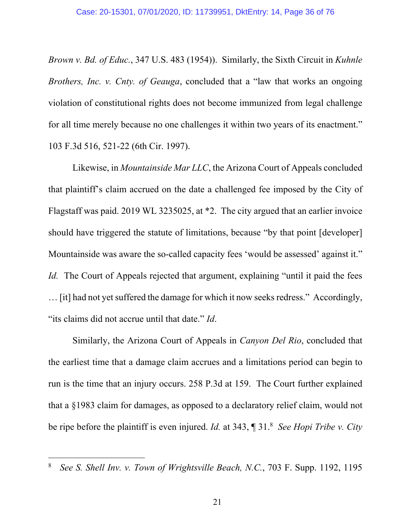*Brown v. Bd. of Educ.*, 347 U.S. 483 (1954)). Similarly, the Sixth Circuit in *Kuhnle Brothers, Inc. v. Cnty. of Geauga*, concluded that a "law that works an ongoing violation of constitutional rights does not become immunized from legal challenge for all time merely because no one challenges it within two years of its enactment." 103 F.3d 516, 521-22 (6th Cir. 1997).

Likewise, in *Mountainside Mar LLC*, the Arizona Court of Appeals concluded that plaintiff's claim accrued on the date a challenged fee imposed by the City of Flagstaff was paid. 2019 WL 3235025, at \*2. The city argued that an earlier invoice should have triggered the statute of limitations, because "by that point [developer] Mountainside was aware the so-called capacity fees 'would be assessed' against it." *Id.* The Court of Appeals rejected that argument, explaining "until it paid the fees … [it] had not yet suffered the damage for which it now seeks redress." Accordingly, "its claims did not accrue until that date." *Id*.

Similarly, the Arizona Court of Appeals in *Canyon Del Rio*, concluded that the earliest time that a damage claim accrues and a limitations period can begin to run is the time that an injury occurs. 258 P.3d at 159. The Court further explained that a §1983 claim for damages, as opposed to a declaratory relief claim, would not be ripe before the plaintiff is even injured. *Id.* at 343, ¶ 31.8 *See Hopi Tribe v. City* 

<sup>8</sup> *See S. Shell Inv. v. Town of Wrightsville Beach, N.C.*, 703 F. Supp. 1192, 1195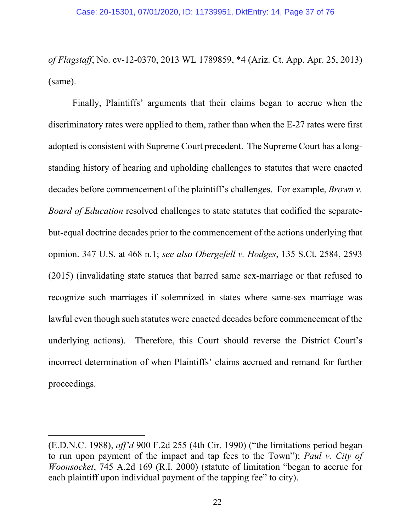*of Flagstaff*, No. cv-12-0370, 2013 WL 1789859, \*4 (Ariz. Ct. App. Apr. 25, 2013) (same).

Finally, Plaintiffs' arguments that their claims began to accrue when the discriminatory rates were applied to them, rather than when the E-27 rates were first adopted is consistent with Supreme Court precedent. The Supreme Court has a longstanding history of hearing and upholding challenges to statutes that were enacted decades before commencement of the plaintiff's challenges. For example, *Brown v. Board of Education* resolved challenges to state statutes that codified the separatebut-equal doctrine decades prior to the commencement of the actions underlying that opinion. 347 U.S. at 468 n.1; *see also Obergefell v. Hodges*, 135 S.Ct. 2584, 2593 (2015) (invalidating state statues that barred same sex-marriage or that refused to recognize such marriages if solemnized in states where same-sex marriage was lawful even though such statutes were enacted decades before commencement of the underlying actions). Therefore, this Court should reverse the District Court's incorrect determination of when Plaintiffs' claims accrued and remand for further proceedings.

<sup>(</sup>E.D.N.C. 1988), *aff'd* 900 F.2d 255 (4th Cir. 1990) ("the limitations period began to run upon payment of the impact and tap fees to the Town"); *Paul v. City of Woonsocket*, 745 A.2d 169 (R.I. 2000) (statute of limitation "began to accrue for each plaintiff upon individual payment of the tapping fee" to city).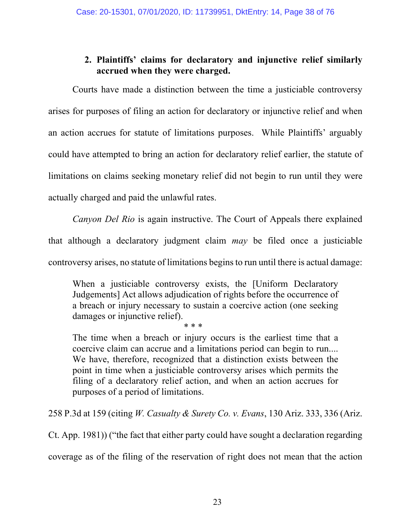# **2. Plaintiffs' claims for declaratory and injunctive relief similarly accrued when they were charged.**

Courts have made a distinction between the time a justiciable controversy arises for purposes of filing an action for declaratory or injunctive relief and when an action accrues for statute of limitations purposes. While Plaintiffs' arguably could have attempted to bring an action for declaratory relief earlier, the statute of limitations on claims seeking monetary relief did not begin to run until they were actually charged and paid the unlawful rates.

*Canyon Del Rio* is again instructive. The Court of Appeals there explained that although a declaratory judgment claim *may* be filed once a justiciable controversy arises, no statute of limitations begins to run until there is actual damage:

When a justiciable controversy exists, the [Uniform Declaratory Judgements] Act allows adjudication of rights before the occurrence of a breach or injury necessary to sustain a coercive action (one seeking damages or injunctive relief).

\* \* \*

The time when a breach or injury occurs is the earliest time that a coercive claim can accrue and a limitations period can begin to run.... We have, therefore, recognized that a distinction exists between the point in time when a justiciable controversy arises which permits the filing of a declaratory relief action, and when an action accrues for purposes of a period of limitations.

258 P.3d at 159 (citing *W. Casualty & Surety Co. v. Evans*, 130 Ariz. 333, 336 (Ariz.

Ct. App. 1981)) ("the fact that either party could have sought a declaration regarding coverage as of the filing of the reservation of right does not mean that the action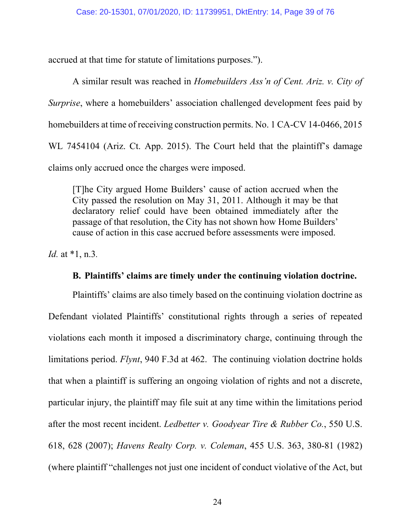accrued at that time for statute of limitations purposes.").

A similar result was reached in *Homebuilders Ass'n of Cent. Ariz. v. City of Surprise*, where a homebuilders' association challenged development fees paid by homebuilders at time of receiving construction permits. No. 1 CA-CV 14-0466, 2015 WL 7454104 (Ariz. Ct. App. 2015). The Court held that the plaintiff's damage claims only accrued once the charges were imposed.

[T]he City argued Home Builders' cause of action accrued when the City passed the resolution on May 31, 2011. Although it may be that declaratory relief could have been obtained immediately after the passage of that resolution, the City has not shown how Home Builders' cause of action in this case accrued before assessments were imposed.

*Id.* at \*1, n.3*.*

### **B. Plaintiffs' claims are timely under the continuing violation doctrine.**

Plaintiffs' claims are also timely based on the continuing violation doctrine as Defendant violated Plaintiffs' constitutional rights through a series of repeated violations each month it imposed a discriminatory charge, continuing through the limitations period. *Flynt*, 940 F.3d at 462. The continuing violation doctrine holds that when a plaintiff is suffering an ongoing violation of rights and not a discrete, particular injury, the plaintiff may file suit at any time within the limitations period after the most recent incident. *Ledbetter v. Goodyear Tire & Rubber Co.*, 550 U.S. 618, 628 (2007); *Havens Realty Corp. v. Coleman*, 455 U.S. 363, 380-81 (1982) (where plaintiff "challenges not just one incident of conduct violative of the Act, but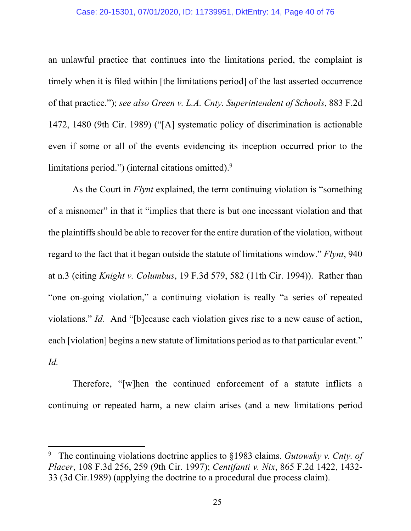#### Case: 20-15301, 07/01/2020, ID: 11739951, DktEntry: 14, Page 40 of 76

an unlawful practice that continues into the limitations period, the complaint is timely when it is filed within [the limitations period] of the last asserted occurrence of that practice."); *see also Green v. L.A. Cnty. Superintendent of Schools*, 883 F.2d 1472, 1480 (9th Cir. 1989) ("[A] systematic policy of discrimination is actionable even if some or all of the events evidencing its inception occurred prior to the limitations period.") (internal citations omitted). $9$ 

As the Court in *Flynt* explained, the term continuing violation is "something of a misnomer" in that it "implies that there is but one incessant violation and that the plaintiffs should be able to recover for the entire duration of the violation, without regard to the fact that it began outside the statute of limitations window." *Flynt*, 940 at n.3 (citing *Knight v. Columbus*, 19 F.3d 579, 582 (11th Cir. 1994)). Rather than "one on-going violation," a continuing violation is really "a series of repeated violations." *Id.* And "[b]ecause each violation gives rise to a new cause of action, each [violation] begins a new statute of limitations period as to that particular event." *Id.*

Therefore, "[w]hen the continued enforcement of a statute inflicts a continuing or repeated harm, a new claim arises (and a new limitations period

<sup>9</sup> The continuing violations doctrine applies to §1983 claims. *Gutowsky v. Cnty. of Placer*, 108 F.3d 256, 259 (9th Cir. 1997); *Centifanti v. Nix*, 865 F.2d 1422, 1432- 33 (3d Cir.1989) (applying the doctrine to a procedural due process claim).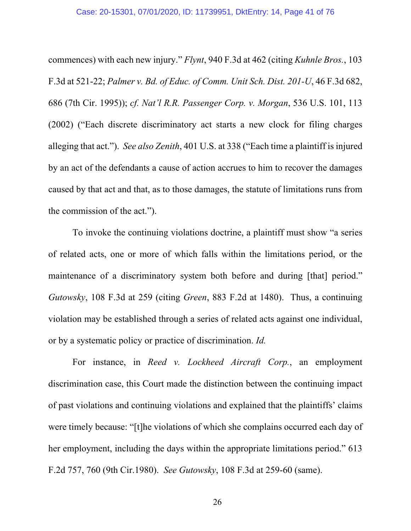commences) with each new injury." *Flynt*, 940 F.3d at 462 (citing *Kuhnle Bros.*, 103 F.3d at 521-22; *Palmer v. Bd. of Educ. of Comm. Unit Sch. Dist. 201-U*, 46 F.3d 682, 686 (7th Cir. 1995)); *cf. Nat'l R.R. Passenger Corp. v. Morgan*, 536 U.S. 101, 113 (2002) ("Each discrete discriminatory act starts a new clock for filing charges alleging that act."). *See also Zenith*, 401 U.S. at 338 ("Each time a plaintiff is injured by an act of the defendants a cause of action accrues to him to recover the damages caused by that act and that, as to those damages, the statute of limitations runs from the commission of the act.").

To invoke the continuing violations doctrine, a plaintiff must show "a series of related acts, one or more of which falls within the limitations period, or the maintenance of a discriminatory system both before and during [that] period." *Gutowsky*, 108 F.3d at 259 (citing *Green*, 883 F.2d at 1480). Thus, a continuing violation may be established through a series of related acts against one individual, or by a systematic policy or practice of discrimination. *Id.*

For instance, in *Reed v. Lockheed Aircraft Corp.*, an employment discrimination case, this Court made the distinction between the continuing impact of past violations and continuing violations and explained that the plaintiffs' claims were timely because: "[t]he violations of which she complains occurred each day of her employment, including the days within the appropriate limitations period." 613 F.2d 757, 760 (9th Cir.1980). *See Gutowsky*, 108 F.3d at 259-60 (same).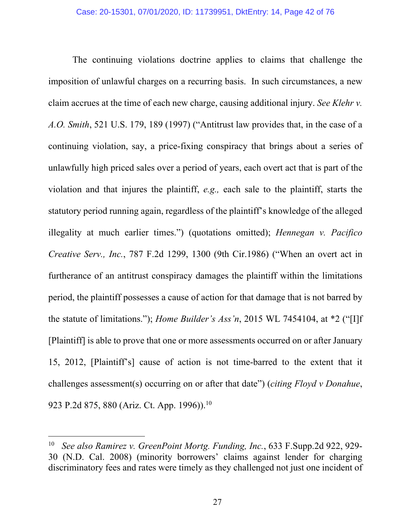The continuing violations doctrine applies to claims that challenge the imposition of unlawful charges on a recurring basis. In such circumstances, a new claim accrues at the time of each new charge, causing additional injury. *See Klehr v. A.O. Smith*, 521 U.S. 179, 189 (1997) ("Antitrust law provides that, in the case of a continuing violation, say, a price-fixing conspiracy that brings about a series of unlawfully high priced sales over a period of years, each overt act that is part of the violation and that injures the plaintiff, *e.g.,* each sale to the plaintiff, starts the statutory period running again, regardless of the plaintiff's knowledge of the alleged illegality at much earlier times.") (quotations omitted); *Hennegan v. Pacifico Creative Serv., Inc.*, 787 F.2d 1299, 1300 (9th Cir.1986) ("When an overt act in furtherance of an antitrust conspiracy damages the plaintiff within the limitations period, the plaintiff possesses a cause of action for that damage that is not barred by the statute of limitations."); *Home Builder's Ass'n*, 2015 WL 7454104, at \*2 ("[I]f [Plaintiff] is able to prove that one or more assessments occurred on or after January 15, 2012, [Plaintiff's] cause of action is not time-barred to the extent that it challenges assessment(s) occurring on or after that date") (*citing Floyd v Donahue*, 923 P.2d 875, 880 (Ariz. Ct. App. 1996)).<sup>10</sup>

<sup>10</sup> *See also Ramirez v. GreenPoint Mortg. Funding, Inc.*, 633 F.Supp.2d 922, 929- 30 (N.D. Cal. 2008) (minority borrowers' claims against lender for charging discriminatory fees and rates were timely as they challenged not just one incident of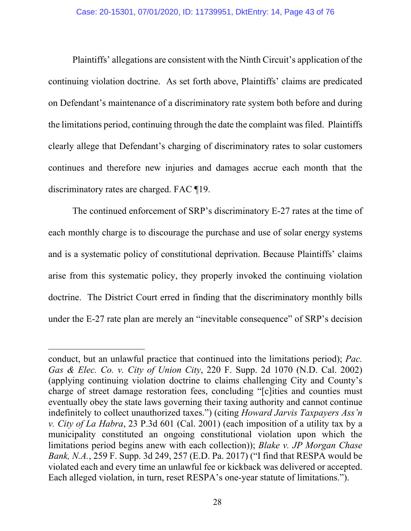Plaintiffs' allegations are consistent with the Ninth Circuit's application of the continuing violation doctrine. As set forth above, Plaintiffs' claims are predicated on Defendant's maintenance of a discriminatory rate system both before and during the limitations period, continuing through the date the complaint was filed. Plaintiffs clearly allege that Defendant's charging of discriminatory rates to solar customers continues and therefore new injuries and damages accrue each month that the discriminatory rates are charged. FAC ¶19.

The continued enforcement of SRP's discriminatory E-27 rates at the time of each monthly charge is to discourage the purchase and use of solar energy systems and is a systematic policy of constitutional deprivation. Because Plaintiffs' claims arise from this systematic policy, they properly invoked the continuing violation doctrine. The District Court erred in finding that the discriminatory monthly bills under the E-27 rate plan are merely an "inevitable consequence" of SRP's decision

conduct, but an unlawful practice that continued into the limitations period); *Pac. Gas & Elec. Co. v. City of Union City*, 220 F. Supp. 2d 1070 (N.D. Cal. 2002) (applying continuing violation doctrine to claims challenging City and County's charge of street damage restoration fees, concluding "[c]ities and counties must eventually obey the state laws governing their taxing authority and cannot continue indefinitely to collect unauthorized taxes.") (citing *Howard Jarvis Taxpayers Ass'n v. City of La Habra*, 23 P.3d 601 (Cal. 2001) (each imposition of a utility tax by a municipality constituted an ongoing constitutional violation upon which the limitations period begins anew with each collection)); *Blake v. JP Morgan Chase Bank, N.A.*, 259 F. Supp. 3d 249, 257 (E.D. Pa. 2017) ("I find that RESPA would be violated each and every time an unlawful fee or kickback was delivered or accepted. Each alleged violation, in turn, reset RESPA's one-year statute of limitations.").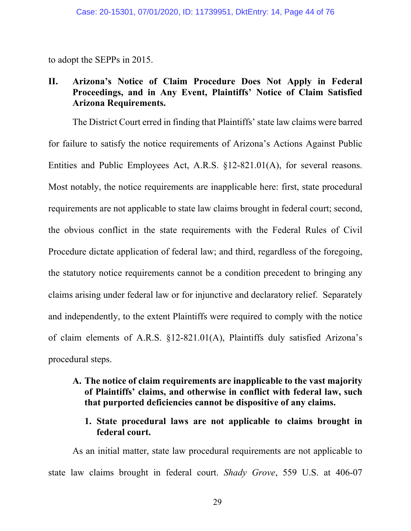to adopt the SEPPs in 2015.

# **II. Arizona's Notice of Claim Procedure Does Not Apply in Federal Proceedings, and in Any Event, Plaintiffs' Notice of Claim Satisfied Arizona Requirements.**

The District Court erred in finding that Plaintiffs' state law claims were barred for failure to satisfy the notice requirements of Arizona's Actions Against Public Entities and Public Employees Act, A.R.S. §12-821.01(A), for several reasons. Most notably, the notice requirements are inapplicable here: first, state procedural requirements are not applicable to state law claims brought in federal court; second, the obvious conflict in the state requirements with the Federal Rules of Civil Procedure dictate application of federal law; and third, regardless of the foregoing, the statutory notice requirements cannot be a condition precedent to bringing any claims arising under federal law or for injunctive and declaratory relief. Separately and independently, to the extent Plaintiffs were required to comply with the notice of claim elements of A.R.S. §12-821.01(A), Plaintiffs duly satisfied Arizona's procedural steps.

- **A. The notice of claim requirements are inapplicable to the vast majority of Plaintiffs' claims, and otherwise in conflict with federal law, such that purported deficiencies cannot be dispositive of any claims.** 
	- **1. State procedural laws are not applicable to claims brought in federal court.**

As an initial matter, state law procedural requirements are not applicable to state law claims brought in federal court. *Shady Grove*, 559 U.S. at 406-07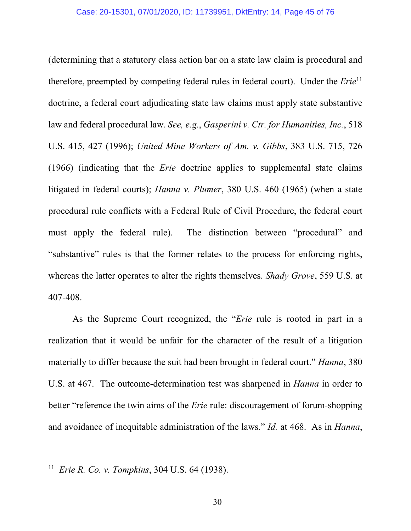(determining that a statutory class action bar on a state law claim is procedural and therefore, preempted by competing federal rules in federal court). Under the *Erie*<sup>11</sup> doctrine, a federal court adjudicating state law claims must apply state substantive law and federal procedural law. *See, e.g.*, *Gasperini v. Ctr. for Humanities, Inc.*, 518 U.S. 415, 427 (1996); *United Mine Workers of Am. v. Gibbs*, 383 U.S. 715, 726 (1966) (indicating that the *Erie* doctrine applies to supplemental state claims litigated in federal courts); *Hanna v. Plumer*, 380 U.S. 460 (1965) (when a state procedural rule conflicts with a Federal Rule of Civil Procedure, the federal court must apply the federal rule). The distinction between "procedural" and "substantive" rules is that the former relates to the process for enforcing rights, whereas the latter operates to alter the rights themselves. *Shady Grove*, 559 U.S. at 407-408.

As the Supreme Court recognized, the "*Erie* rule is rooted in part in a realization that it would be unfair for the character of the result of a litigation materially to differ because the suit had been brought in federal court." *Hanna*, 380 U.S. at 467. The outcome-determination test was sharpened in *Hanna* in order to better "reference the twin aims of the *Erie* rule: discouragement of forum-shopping and avoidance of inequitable administration of the laws." *Id.* at 468. As in *Hanna*,

<sup>11</sup> *Erie R. Co. v. Tompkins*, 304 U.S. 64 (1938).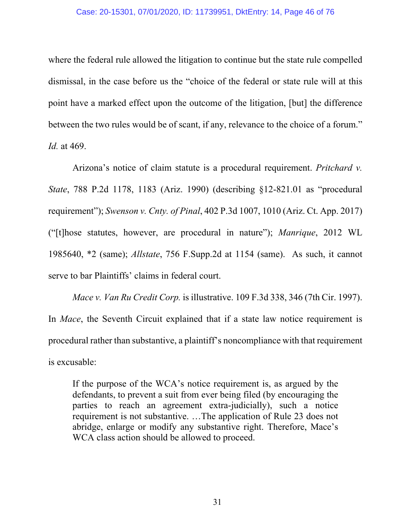where the federal rule allowed the litigation to continue but the state rule compelled dismissal, in the case before us the "choice of the federal or state rule will at this point have a marked effect upon the outcome of the litigation, [but] the difference between the two rules would be of scant, if any, relevance to the choice of a forum." *Id.* at 469.

Arizona's notice of claim statute is a procedural requirement. *Pritchard v. State*, 788 P.2d 1178, 1183 (Ariz. 1990) (describing §12-821.01 as "procedural requirement"); *Swenson v. Cnty. of Pinal*, 402 P.3d 1007, 1010 (Ariz. Ct. App. 2017) ("[t]hose statutes, however, are procedural in nature"); *Manrique*, 2012 WL 1985640, \*2 (same); *Allstate*, 756 F.Supp.2d at 1154 (same). As such, it cannot serve to bar Plaintiffs' claims in federal court.

*Mace v. Van Ru Credit Corp.* is illustrative. 109 F.3d 338, 346 (7th Cir. 1997). In *Mace*, the Seventh Circuit explained that if a state law notice requirement is procedural rather than substantive, a plaintiff's noncompliance with that requirement is excusable:

If the purpose of the WCA's notice requirement is, as argued by the defendants, to prevent a suit from ever being filed (by encouraging the parties to reach an agreement extra-judicially), such a notice requirement is not substantive. …The application of Rule 23 does not abridge, enlarge or modify any substantive right. Therefore, Mace's WCA class action should be allowed to proceed.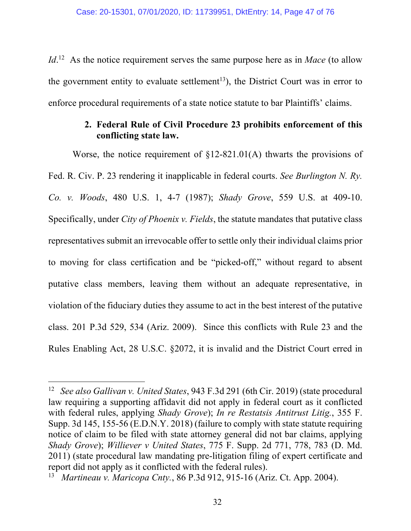*Id*<sup>12</sup> As the notice requirement serves the same purpose here as in *Mace* (to allow the government entity to evaluate settlement<sup>13</sup>), the District Court was in error to enforce procedural requirements of a state notice statute to bar Plaintiffs' claims.

# **2. Federal Rule of Civil Procedure 23 prohibits enforcement of this conflicting state law.**

Worse, the notice requirement of §12-821.01(A) thwarts the provisions of Fed. R. Civ. P. 23 rendering it inapplicable in federal courts. *See Burlington N. Ry. Co. v. Woods*, 480 U.S. 1, 4-7 (1987); *Shady Grove*, 559 U.S. at 409-10. Specifically, under *City of Phoenix v. Fields*, the statute mandates that putative class representatives submit an irrevocable offer to settle only their individual claims prior to moving for class certification and be "picked-off," without regard to absent putative class members, leaving them without an adequate representative, in violation of the fiduciary duties they assume to act in the best interest of the putative class. 201 P.3d 529, 534 (Ariz. 2009). Since this conflicts with Rule 23 and the Rules Enabling Act, 28 U.S.C. §2072, it is invalid and the District Court erred in

<sup>12</sup> *See also Gallivan v. United States*, 943 F.3d 291 (6th Cir. 2019) (state procedural law requiring a supporting affidavit did not apply in federal court as it conflicted with federal rules, applying *Shady Grove*); *In re Restatsis Antitrust Litig.*, 355 F. Supp. 3d 145, 155-56 (E.D.N.Y. 2018) (failure to comply with state statute requiring notice of claim to be filed with state attorney general did not bar claims, applying *Shady Grove*); *Williever v United States*, 775 F. Supp. 2d 771, 778, 783 (D. Md. 2011) (state procedural law mandating pre-litigation filing of expert certificate and report did not apply as it conflicted with the federal rules).

<sup>13</sup> *Martineau v. Maricopa Cnty.*, 86 P.3d 912, 915-16 (Ariz. Ct. App. 2004).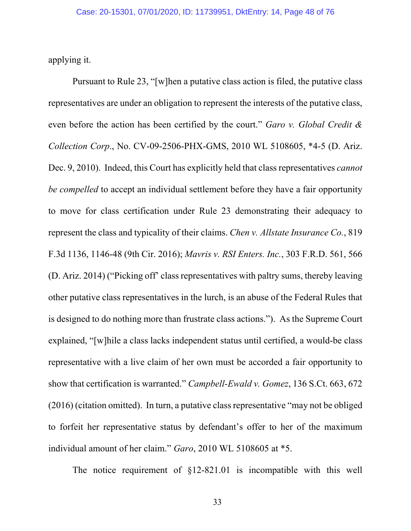applying it.

Pursuant to Rule 23, "[w]hen a putative class action is filed, the putative class representatives are under an obligation to represent the interests of the putative class, even before the action has been certified by the court." *Garo v. Global Credit & Collection Corp*., No. CV-09-2506-PHX-GMS, 2010 WL 5108605, \*4-5 (D. Ariz. Dec. 9, 2010). Indeed, this Court has explicitly held that class representatives *cannot be compelled* to accept an individual settlement before they have a fair opportunity to move for class certification under Rule 23 demonstrating their adequacy to represent the class and typicality of their claims. *Chen v. Allstate Insurance Co.*, 819 F.3d 1136, 1146-48 (9th Cir. 2016); *Mavris v. RSI Enters. Inc.*, 303 F.R.D. 561, 566 (D. Ariz. 2014) ("Picking off' class representatives with paltry sums, thereby leaving other putative class representatives in the lurch, is an abuse of the Federal Rules that is designed to do nothing more than frustrate class actions."). As the Supreme Court explained, "[w]hile a class lacks independent status until certified, a would-be class representative with a live claim of her own must be accorded a fair opportunity to show that certification is warranted." *Campbell-Ewald v. Gomez*, 136 S.Ct. 663, 672 (2016) (citation omitted). In turn, a putative class representative "may not be obliged to forfeit her representative status by defendant's offer to her of the maximum individual amount of her claim." *Garo*, 2010 WL 5108605 at \*5.

The notice requirement of §12-821.01 is incompatible with this well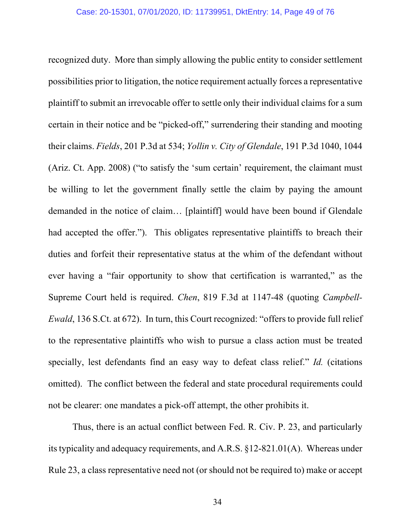recognized duty. More than simply allowing the public entity to consider settlement possibilities prior to litigation, the notice requirement actually forces a representative plaintiff to submit an irrevocable offer to settle only their individual claims for a sum certain in their notice and be "picked-off," surrendering their standing and mooting their claims. *Fields*, 201 P.3d at 534; *Yollin v. City of Glendale*, 191 P.3d 1040, 1044 (Ariz. Ct. App. 2008) ("to satisfy the 'sum certain' requirement, the claimant must be willing to let the government finally settle the claim by paying the amount demanded in the notice of claim… [plaintiff] would have been bound if Glendale had accepted the offer."). This obligates representative plaintiffs to breach their duties and forfeit their representative status at the whim of the defendant without ever having a "fair opportunity to show that certification is warranted," as the Supreme Court held is required. *Chen*, 819 F.3d at 1147-48 (quoting *Campbell-Ewald*, 136 S.Ct. at 672). In turn, this Court recognized: "offers to provide full relief to the representative plaintiffs who wish to pursue a class action must be treated specially, lest defendants find an easy way to defeat class relief." *Id.* (citations omitted). The conflict between the federal and state procedural requirements could not be clearer: one mandates a pick-off attempt, the other prohibits it.

Thus, there is an actual conflict between Fed. R. Civ. P. 23, and particularly its typicality and adequacy requirements, and A.R.S. §12-821.01(A). Whereas under Rule 23, a class representative need not (or should not be required to) make or accept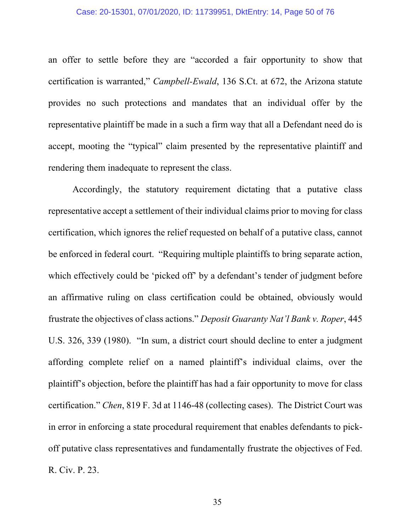#### Case: 20-15301, 07/01/2020, ID: 11739951, DktEntry: 14, Page 50 of 76

an offer to settle before they are "accorded a fair opportunity to show that certification is warranted," *Campbell-Ewald*, 136 S.Ct. at 672, the Arizona statute provides no such protections and mandates that an individual offer by the representative plaintiff be made in a such a firm way that all a Defendant need do is accept, mooting the "typical" claim presented by the representative plaintiff and rendering them inadequate to represent the class.

Accordingly, the statutory requirement dictating that a putative class representative accept a settlement of their individual claims prior to moving for class certification, which ignores the relief requested on behalf of a putative class, cannot be enforced in federal court. "Requiring multiple plaintiffs to bring separate action, which effectively could be 'picked off' by a defendant's tender of judgment before an affirmative ruling on class certification could be obtained, obviously would frustrate the objectives of class actions." *Deposit Guaranty Nat'l Bank v. Roper*, 445 U.S. 326, 339 (1980). "In sum, a district court should decline to enter a judgment affording complete relief on a named plaintiff's individual claims, over the plaintiff's objection, before the plaintiff has had a fair opportunity to move for class certification." *Chen*, 819 F. 3d at 1146-48 (collecting cases). The District Court was in error in enforcing a state procedural requirement that enables defendants to pickoff putative class representatives and fundamentally frustrate the objectives of Fed. R. Civ. P. 23.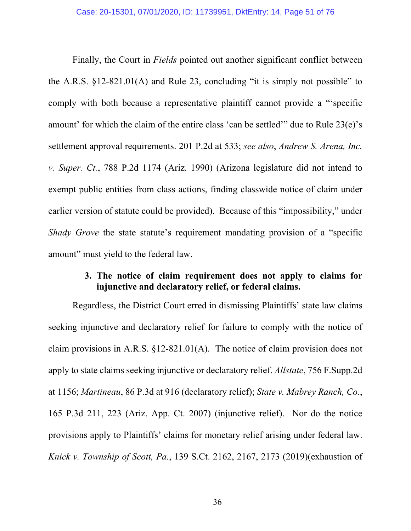Finally, the Court in *Fields* pointed out another significant conflict between the A.R.S.  $\S 12-821.01(A)$  and Rule 23, concluding "it is simply not possible" to comply with both because a representative plaintiff cannot provide a "'specific amount' for which the claim of the entire class 'can be settled'" due to Rule 23(e)'s settlement approval requirements. 201 P.2d at 533; *see also*, *Andrew S. Arena, Inc. v. Super. Ct.*, 788 P.2d 1174 (Ariz. 1990) (Arizona legislature did not intend to exempt public entities from class actions, finding classwide notice of claim under earlier version of statute could be provided). Because of this "impossibility," under *Shady Grove* the state statute's requirement mandating provision of a "specific amount" must yield to the federal law.

## **3. The notice of claim requirement does not apply to claims for injunctive and declaratory relief, or federal claims.**

Regardless, the District Court erred in dismissing Plaintiffs' state law claims seeking injunctive and declaratory relief for failure to comply with the notice of claim provisions in A.R.S. §12-821.01(A). The notice of claim provision does not apply to state claims seeking injunctive or declaratory relief. *Allstate*, 756 F.Supp.2d at 1156; *Martineau*, 86 P.3d at 916 (declaratory relief); *State v. Mabrey Ranch, Co.*, 165 P.3d 211, 223 (Ariz. App. Ct. 2007) (injunctive relief). Nor do the notice provisions apply to Plaintiffs' claims for monetary relief arising under federal law. *Knick v. Township of Scott, Pa.*, 139 S.Ct. 2162, 2167, 2173 (2019)(exhaustion of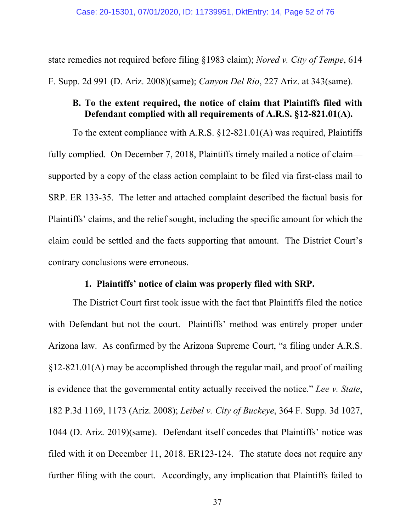state remedies not required before filing §1983 claim); *Nored v. City of Tempe*, 614 F. Supp. 2d 991 (D. Ariz. 2008)(same); *Canyon Del Rio*, 227 Ariz. at 343(same).

## **B. To the extent required, the notice of claim that Plaintiffs filed with Defendant complied with all requirements of A.R.S. §12-821.01(A).**

To the extent compliance with A.R.S. §12-821.01(A) was required, Plaintiffs fully complied. On December 7, 2018, Plaintiffs timely mailed a notice of claim supported by a copy of the class action complaint to be filed via first-class mail to SRP. ER 133-35. The letter and attached complaint described the factual basis for Plaintiffs' claims, and the relief sought, including the specific amount for which the claim could be settled and the facts supporting that amount. The District Court's contrary conclusions were erroneous.

### **1. Plaintiffs' notice of claim was properly filed with SRP.**

The District Court first took issue with the fact that Plaintiffs filed the notice with Defendant but not the court. Plaintiffs' method was entirely proper under Arizona law. As confirmed by the Arizona Supreme Court, "a filing under A.R.S. §12-821.01(A) may be accomplished through the regular mail, and proof of mailing is evidence that the governmental entity actually received the notice." *Lee v. State*, 182 P.3d 1169, 1173 (Ariz. 2008); *Leibel v. City of Buckeye*, 364 F. Supp. 3d 1027, 1044 (D. Ariz. 2019)(same). Defendant itself concedes that Plaintiffs' notice was filed with it on December 11, 2018. ER123-124. The statute does not require any further filing with the court. Accordingly, any implication that Plaintiffs failed to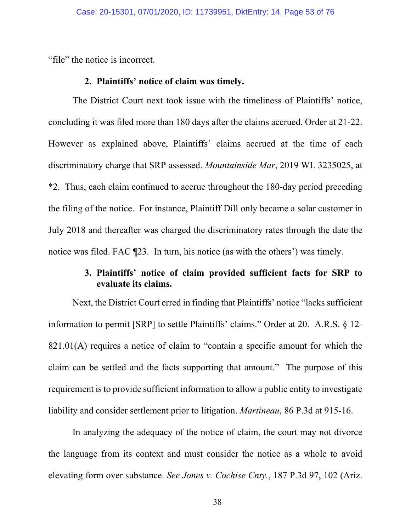"file" the notice is incorrect.

### **2. Plaintiffs' notice of claim was timely.**

The District Court next took issue with the timeliness of Plaintiffs' notice, concluding it was filed more than 180 days after the claims accrued. Order at 21-22. However as explained above, Plaintiffs' claims accrued at the time of each discriminatory charge that SRP assessed. *Mountainside Mar*, 2019 WL 3235025, at \*2. Thus, each claim continued to accrue throughout the 180-day period preceding the filing of the notice. For instance, Plaintiff Dill only became a solar customer in July 2018 and thereafter was charged the discriminatory rates through the date the notice was filed. FAC ¶23. In turn, his notice (as with the others') was timely.

# **3. Plaintiffs' notice of claim provided sufficient facts for SRP to evaluate its claims.**

Next, the District Court erred in finding that Plaintiffs' notice "lacks sufficient information to permit [SRP] to settle Plaintiffs' claims." Order at 20. A.R.S. § 12- 821.01(A) requires a notice of claim to "contain a specific amount for which the claim can be settled and the facts supporting that amount." The purpose of this requirement is to provide sufficient information to allow a public entity to investigate liability and consider settlement prior to litigation. *Martineau*, 86 P.3d at 915-16.

In analyzing the adequacy of the notice of claim, the court may not divorce the language from its context and must consider the notice as a whole to avoid elevating form over substance. *See Jones v. Cochise Cnty.*, 187 P.3d 97, 102 (Ariz.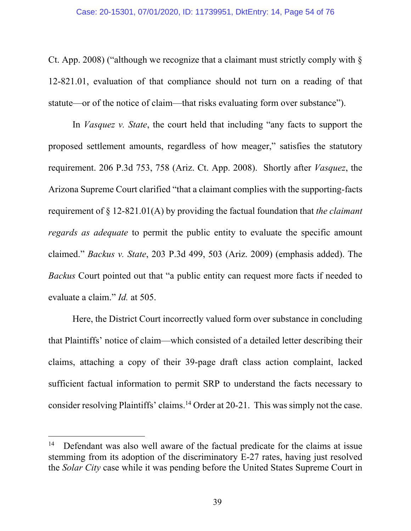Ct. App. 2008) ("although we recognize that a claimant must strictly comply with § 12-821.01, evaluation of that compliance should not turn on a reading of that statute—or of the notice of claim—that risks evaluating form over substance").

In *Vasquez v. State*, the court held that including "any facts to support the proposed settlement amounts, regardless of how meager," satisfies the statutory requirement. 206 P.3d 753, 758 (Ariz. Ct. App. 2008). Shortly after *Vasquez*, the Arizona Supreme Court clarified "that a claimant complies with the supporting-facts requirement of § 12-821.01(A) by providing the factual foundation that *the claimant regards as adequate* to permit the public entity to evaluate the specific amount claimed." *Backus v. State*, 203 P.3d 499, 503 (Ariz. 2009) (emphasis added). The *Backus* Court pointed out that "a public entity can request more facts if needed to evaluate a claim." *Id.* at 505.

Here, the District Court incorrectly valued form over substance in concluding that Plaintiffs' notice of claim—which consisted of a detailed letter describing their claims, attaching a copy of their 39-page draft class action complaint, lacked sufficient factual information to permit SRP to understand the facts necessary to consider resolving Plaintiffs' claims.<sup>14</sup> Order at 20-21. This was simply not the case.

<sup>&</sup>lt;sup>14</sup> Defendant was also well aware of the factual predicate for the claims at issue stemming from its adoption of the discriminatory E-27 rates, having just resolved the *Solar City* case while it was pending before the United States Supreme Court in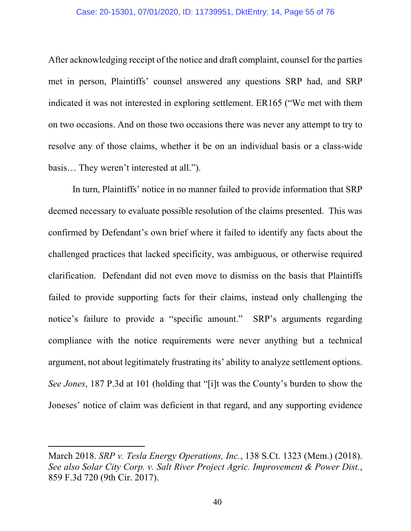#### Case: 20-15301, 07/01/2020, ID: 11739951, DktEntry: 14, Page 55 of 76

After acknowledging receipt of the notice and draft complaint, counsel for the parties met in person, Plaintiffs' counsel answered any questions SRP had, and SRP indicated it was not interested in exploring settlement. ER165 ("We met with them on two occasions. And on those two occasions there was never any attempt to try to resolve any of those claims, whether it be on an individual basis or a class-wide basis… They weren't interested at all.").

In turn, Plaintiffs' notice in no manner failed to provide information that SRP deemed necessary to evaluate possible resolution of the claims presented. This was confirmed by Defendant's own brief where it failed to identify any facts about the challenged practices that lacked specificity, was ambiguous, or otherwise required clarification. Defendant did not even move to dismiss on the basis that Plaintiffs failed to provide supporting facts for their claims, instead only challenging the notice's failure to provide a "specific amount." SRP's arguments regarding compliance with the notice requirements were never anything but a technical argument, not about legitimately frustrating its' ability to analyze settlement options. *See Jones*, 187 P.3d at 101 (holding that "[i]t was the County's burden to show the Joneses' notice of claim was deficient in that regard, and any supporting evidence

March 2018. *SRP v. Tesla Energy Operations, Inc.*, 138 S.Ct. 1323 (Mem.) (2018). *See also Solar City Corp. v. Salt River Project Agric. Improvement & Power Dist.*, 859 F.3d 720 (9th Cir. 2017).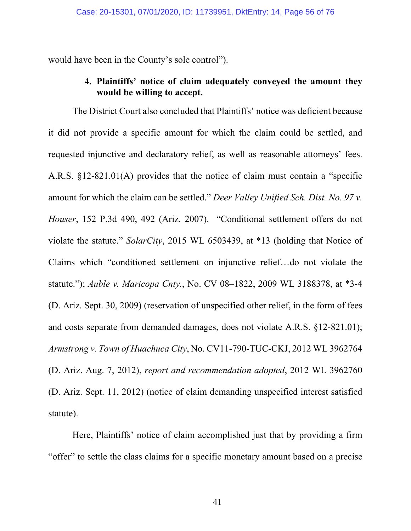would have been in the County's sole control").

# **4. Plaintiffs' notice of claim adequately conveyed the amount they would be willing to accept.**

The District Court also concluded that Plaintiffs' notice was deficient because it did not provide a specific amount for which the claim could be settled, and requested injunctive and declaratory relief, as well as reasonable attorneys' fees. A.R.S. §12-821.01(A) provides that the notice of claim must contain a "specific amount for which the claim can be settled." *Deer Valley Unified Sch. Dist. No. 97 v. Houser*, 152 P.3d 490, 492 (Ariz. 2007). "Conditional settlement offers do not violate the statute." *SolarCity*, 2015 WL 6503439, at \*13 (holding that Notice of Claims which "conditioned settlement on injunctive relief…do not violate the statute."); *Auble v. Maricopa Cnty.*, No. CV 08–1822, 2009 WL 3188378, at \*3-4 (D. Ariz. Sept. 30, 2009) (reservation of unspecified other relief, in the form of fees and costs separate from demanded damages, does not violate A.R.S. §12-821.01); *Armstrong v. Town of Huachuca City*, No. CV11-790-TUC-CKJ, 2012 WL 3962764 (D. Ariz. Aug. 7, 2012), *report and recommendation adopted*, 2012 WL 3962760 (D. Ariz. Sept. 11, 2012) (notice of claim demanding unspecified interest satisfied statute).

Here, Plaintiffs' notice of claim accomplished just that by providing a firm "offer" to settle the class claims for a specific monetary amount based on a precise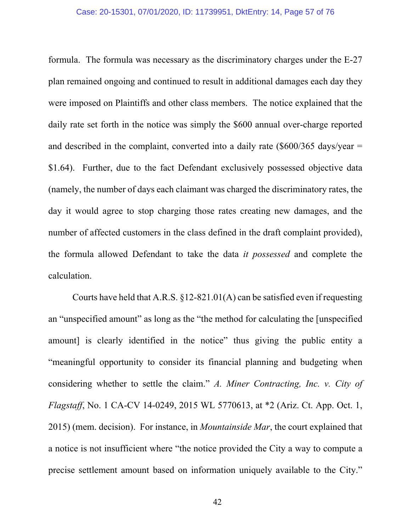#### Case: 20-15301, 07/01/2020, ID: 11739951, DktEntry: 14, Page 57 of 76

formula. The formula was necessary as the discriminatory charges under the E-27 plan remained ongoing and continued to result in additional damages each day they were imposed on Plaintiffs and other class members. The notice explained that the daily rate set forth in the notice was simply the \$600 annual over-charge reported and described in the complaint, converted into a daily rate  $(\$600/365 \text{ days/year} =$ \$1.64). Further, due to the fact Defendant exclusively possessed objective data (namely, the number of days each claimant was charged the discriminatory rates, the day it would agree to stop charging those rates creating new damages, and the number of affected customers in the class defined in the draft complaint provided), the formula allowed Defendant to take the data *it possessed* and complete the calculation.

 Courts have held that A.R.S. §12-821.01(A) can be satisfied even if requesting an "unspecified amount" as long as the "the method for calculating the [unspecified amount] is clearly identified in the notice" thus giving the public entity a "meaningful opportunity to consider its financial planning and budgeting when considering whether to settle the claim." *A. Miner Contracting, Inc. v. City of Flagstaff*, No. 1 CA-CV 14-0249, 2015 WL 5770613, at \*2 (Ariz. Ct. App. Oct. 1, 2015) (mem. decision). For instance, in *Mountainside Mar*, the court explained that a notice is not insufficient where "the notice provided the City a way to compute a precise settlement amount based on information uniquely available to the City."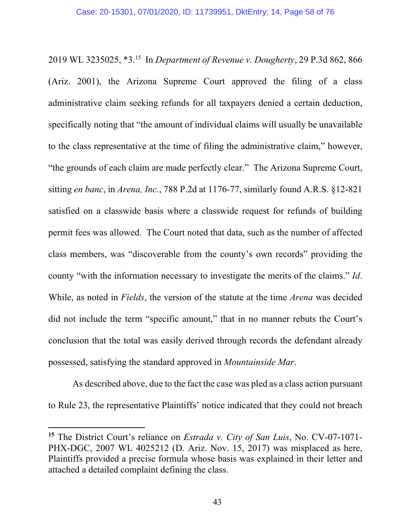2019 WL 3235025, \*3.15 In *Department of Revenue v. Dougherty*, 29 P.3d 862, 866 (Ariz. 2001), the Arizona Supreme Court approved the filing of a class administrative claim seeking refunds for all taxpayers denied a certain deduction, specifically noting that "the amount of individual claims will usually be unavailable to the class representative at the time of filing the administrative claim," however, "the grounds of each claim are made perfectly clear." The Arizona Supreme Court, sitting *en banc*, in *Arena, Inc.*, 788 P.2d at 1176-77, similarly found A.R.S. §12-821 satisfied on a classwide basis where a classwide request for refunds of building permit fees was allowed. The Court noted that data, such as the number of affected class members, was "discoverable from the county's own records" providing the county "with the information necessary to investigate the merits of the claims." *Id*. While, as noted in *Fields*, the version of the statute at the time *Arena* was decided did not include the term "specific amount," that in no manner rebuts the Court's conclusion that the total was easily derived through records the defendant already possessed, satisfying the standard approved in *Mountainside Mar*.

As described above, due to the fact the case was pled as a class action pursuant to Rule 23, the representative Plaintiffs' notice indicated that they could not breach

**<sup>15</sup>** The District Court's reliance on *Estrada v. City of San Luis*, No. CV-07-1071- PHX-DGC, 2007 WL 4025212 (D. Ariz. Nov. 15, 2017) was misplaced as here, Plaintiffs provided a precise formula whose basis was explained in their letter and attached a detailed complaint defining the class.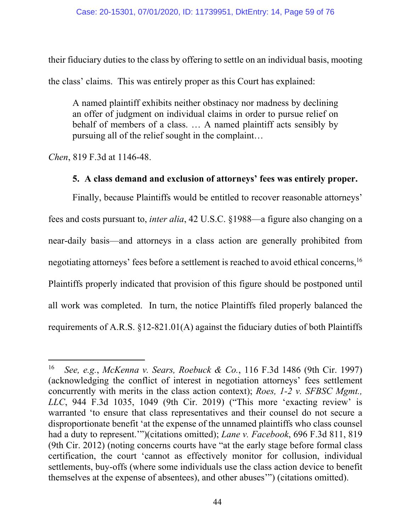their fiduciary duties to the class by offering to settle on an individual basis, mooting the class' claims. This was entirely proper as this Court has explained:

A named plaintiff exhibits neither obstinacy nor madness by declining an offer of judgment on individual claims in order to pursue relief on behalf of members of a class. … A named plaintiff acts sensibly by pursuing all of the relief sought in the complaint…

*Chen*, 819 F.3d at 1146-48.

# **5. A class demand and exclusion of attorneys' fees was entirely proper.**

Finally, because Plaintiffs would be entitled to recover reasonable attorneys' fees and costs pursuant to, *inter alia*, 42 U.S.C. §1988—a figure also changing on a near-daily basis—and attorneys in a class action are generally prohibited from negotiating attorneys' fees before a settlement is reached to avoid ethical concerns,<sup>16</sup> Plaintiffs properly indicated that provision of this figure should be postponed until all work was completed. In turn, the notice Plaintiffs filed properly balanced the requirements of A.R.S. §12-821.01(A) against the fiduciary duties of both Plaintiffs

<sup>16</sup> *See, e.g.*, *McKenna v. Sears, Roebuck & Co.*, 116 F.3d 1486 (9th Cir. 1997) (acknowledging the conflict of interest in negotiation attorneys' fees settlement concurrently with merits in the class action context); *Roes, 1-2 v. SFBSC Mgmt., LLC*, 944 F.3d 1035, 1049 (9th Cir. 2019) ("This more 'exacting review' is warranted 'to ensure that class representatives and their counsel do not secure a disproportionate benefit 'at the expense of the unnamed plaintiffs who class counsel had a duty to represent.'")(citations omitted); *Lane v. Facebook*, 696 F.3d 811, 819 (9th Cir. 2012) (noting concerns courts have "at the early stage before formal class certification, the court 'cannot as effectively monitor for collusion, individual settlements, buy-offs (where some individuals use the class action device to benefit themselves at the expense of absentees), and other abuses'") (citations omitted).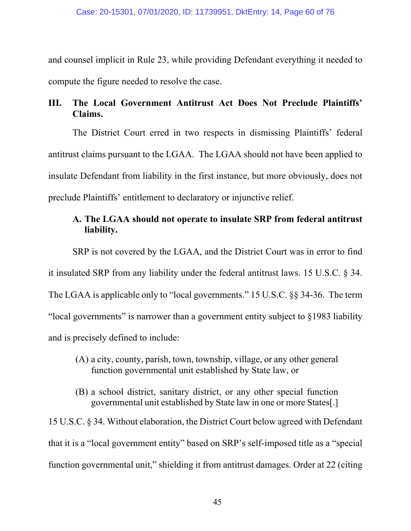and counsel implicit in Rule 23, while providing Defendant everything it needed to compute the figure needed to resolve the case.

# **III. The Local Government Antitrust Act Does Not Preclude Plaintiffs' Claims.**

The District Court erred in two respects in dismissing Plaintiffs' federal antitrust claims pursuant to the LGAA. The LGAA should not have been applied to insulate Defendant from liability in the first instance, but more obviously, does not preclude Plaintiffs' entitlement to declaratory or injunctive relief.

# **A. The LGAA should not operate to insulate SRP from federal antitrust liability.**

SRP is not covered by the LGAA, and the District Court was in error to find it insulated SRP from any liability under the federal antitrust laws. 15 U.S.C. § 34. The LGAA is applicable only to "local governments." 15 U.S.C. §§ 34-36. The term "local governments" is narrower than a government entity subject to §1983 liability and is precisely defined to include:

- (A) a city, county, parish, town, township, village, or any other general function governmental unit established by State law, or
- (B) a school district, sanitary district, or any other special function governmental unit established by State law in one or more States[.]

15 U.S.C. § 34. Without elaboration, the District Court below agreed with Defendant that it is a "local government entity" based on SRP's self-imposed title as a "special function governmental unit," shielding it from antitrust damages. Order at 22 (citing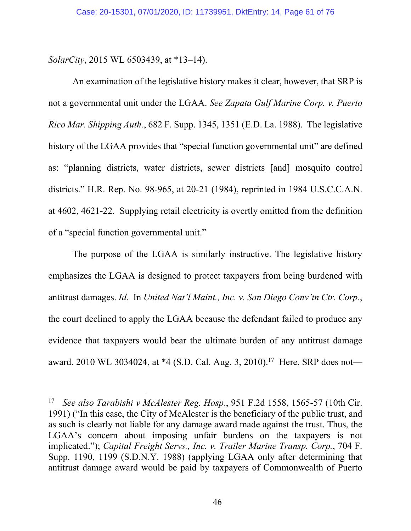*SolarCity*, 2015 WL 6503439, at \*13–14).

An examination of the legislative history makes it clear, however, that SRP is not a governmental unit under the LGAA. *See Zapata Gulf Marine Corp. v. Puerto Rico Mar. Shipping Auth.*, 682 F. Supp. 1345, 1351 (E.D. La. 1988). The legislative history of the LGAA provides that "special function governmental unit" are defined as: "planning districts, water districts, sewer districts [and] mosquito control districts." H.R. Rep. No. 98-965, at 20-21 (1984), reprinted in 1984 U.S.C.C.A.N. at 4602, 4621-22. Supplying retail electricity is overtly omitted from the definition of a "special function governmental unit."

The purpose of the LGAA is similarly instructive. The legislative history emphasizes the LGAA is designed to protect taxpayers from being burdened with antitrust damages. *Id*. In *United Nat'l Maint., Inc. v. San Diego Conv'tn Ctr. Corp.*, the court declined to apply the LGAA because the defendant failed to produce any evidence that taxpayers would bear the ultimate burden of any antitrust damage award. 2010 WL 3034024, at \*4 (S.D. Cal. Aug. 3, 2010).<sup>17</sup> Here, SRP does not—

<sup>17</sup> *See also Tarabishi v McAlester Reg. Hosp*., 951 F.2d 1558, 1565-57 (10th Cir. 1991) ("In this case, the City of McAlester is the beneficiary of the public trust, and as such is clearly not liable for any damage award made against the trust. Thus, the LGAA's concern about imposing unfair burdens on the taxpayers is not implicated."); *Capital Freight Servs., Inc. v. Trailer Marine Transp. Corp.*, 704 F. Supp. 1190, 1199 (S.D.N.Y. 1988) (applying LGAA only after determining that antitrust damage award would be paid by taxpayers of Commonwealth of Puerto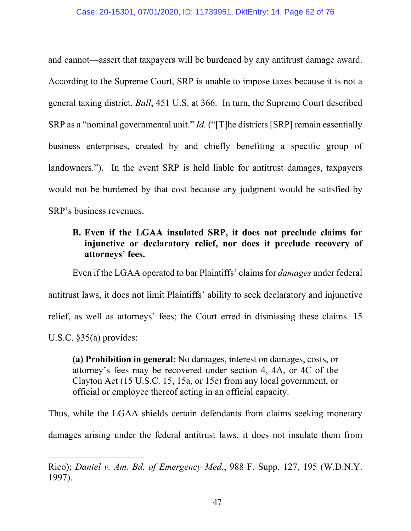and cannot—assert that taxpayers will be burdened by any antitrust damage award. According to the Supreme Court, SRP is unable to impose taxes because it is not a general taxing district. *Ball*, 451 U.S. at 366. In turn, the Supreme Court described SRP as a "nominal governmental unit." *Id.* ("[T]he districts [SRP] remain essentially business enterprises, created by and chiefly benefiting a specific group of landowners."). In the event SRP is held liable for antitrust damages, taxpayers would not be burdened by that cost because any judgment would be satisfied by SRP's business revenues.

## **B. Even if the LGAA insulated SRP, it does not preclude claims for injunctive or declaratory relief, nor does it preclude recovery of attorneys' fees.**

Even if the LGAA operated to bar Plaintiffs' claims for *damages* under federal antitrust laws, it does not limit Plaintiffs' ability to seek declaratory and injunctive relief, as well as attorneys' fees; the Court erred in dismissing these claims. 15 U.S.C. §35(a) provides:

**(a) Prohibition in general:** No damages, interest on damages, costs, or attorney's fees may be recovered under section 4, 4A, or 4C of the Clayton Act (15 U.S.C. 15, 15a, or 15c) from any local government, or official or employee thereof acting in an official capacity.

Thus, while the LGAA shields certain defendants from claims seeking monetary damages arising under the federal antitrust laws, it does not insulate them from

Rico); *Daniel v. Am. Bd. of Emergency Med.*, 988 F. Supp. 127, 195 (W.D.N.Y. 1997).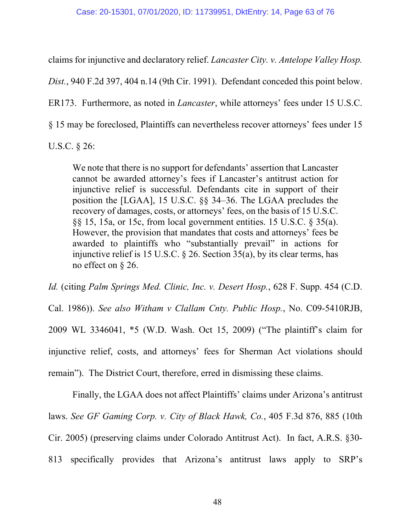claims for injunctive and declaratory relief. *Lancaster City. v. Antelope Valley Hosp.* 

*Dist.*, 940 F.2d 397, 404 n.14 (9th Cir. 1991). Defendant conceded this point below.

ER173. Furthermore, as noted in *Lancaster*, while attorneys' fees under 15 U.S.C.

§ 15 may be foreclosed, Plaintiffs can nevertheless recover attorneys' fees under 15

U.S.C. § 26:

We note that there is no support for defendants' assertion that Lancaster cannot be awarded attorney's fees if Lancaster's antitrust action for injunctive relief is successful. Defendants cite in support of their position the [LGAA], 15 U.S.C. §§ 34–36. The LGAA precludes the recovery of damages, costs, or attorneys' fees, on the basis of 15 U.S.C. §§ 15, 15a, or 15c, from local government entities. 15 U.S.C. § 35(a). However, the provision that mandates that costs and attorneys' fees be awarded to plaintiffs who "substantially prevail" in actions for injunctive relief is 15 U.S.C.  $\S$  26. Section 35(a), by its clear terms, has no effect on § 26.

*Id.* (citing *Palm Springs Med. Clinic, Inc. v. Desert Hosp.*, 628 F. Supp. 454 (C.D.

Cal. 1986)). *See also Witham v Clallam Cnty. Public Hosp.*, No. C09-5410RJB, 2009 WL 3346041, \*5 (W.D. Wash. Oct 15, 2009) ("The plaintiff's claim for injunctive relief, costs, and attorneys' fees for Sherman Act violations should remain").The District Court, therefore, erred in dismissing these claims.

 Finally, the LGAA does not affect Plaintiffs' claims under Arizona's antitrust laws. *See GF Gaming Corp. v. City of Black Hawk, Co.*, 405 F.3d 876, 885 (10th Cir. 2005) (preserving claims under Colorado Antitrust Act). In fact, A.R.S. §30- 813 specifically provides that Arizona's antitrust laws apply to SRP's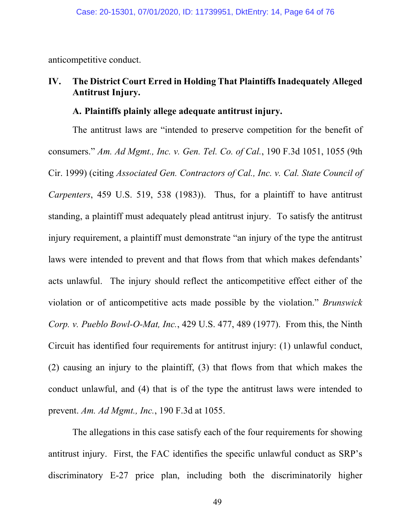anticompetitive conduct.

# **IV. The District Court Erred in Holding That Plaintiffs Inadequately Alleged Antitrust Injury.**

### **A. Plaintiffs plainly allege adequate antitrust injury.**

The antitrust laws are "intended to preserve competition for the benefit of consumers." *Am. Ad Mgmt., Inc. v. Gen. Tel. Co. of Cal.*, 190 F.3d 1051, 1055 (9th Cir. 1999) (citing *Associated Gen. Contractors of Cal., Inc. v. Cal. State Council of Carpenters*, 459 U.S. 519, 538 (1983)). Thus, for a plaintiff to have antitrust standing, a plaintiff must adequately plead antitrust injury. To satisfy the antitrust injury requirement, a plaintiff must demonstrate "an injury of the type the antitrust laws were intended to prevent and that flows from that which makes defendants' acts unlawful. The injury should reflect the anticompetitive effect either of the violation or of anticompetitive acts made possible by the violation." *Brunswick Corp. v. Pueblo Bowl-O-Mat, Inc.*, 429 U.S. 477, 489 (1977). From this, the Ninth Circuit has identified four requirements for antitrust injury: (1) unlawful conduct, (2) causing an injury to the plaintiff, (3) that flows from that which makes the conduct unlawful, and (4) that is of the type the antitrust laws were intended to prevent. *Am. Ad Mgmt., Inc.*, 190 F.3d at 1055.

The allegations in this case satisfy each of the four requirements for showing antitrust injury. First, the FAC identifies the specific unlawful conduct as SRP's discriminatory E-27 price plan, including both the discriminatorily higher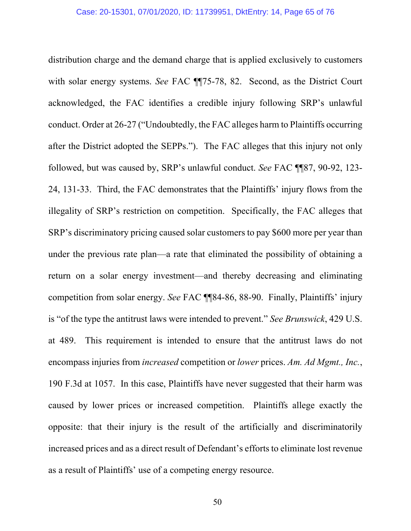distribution charge and the demand charge that is applied exclusively to customers with solar energy systems. *See* FAC  $\P$ <sup>75-78</sup>, 82. Second, as the District Court acknowledged, the FAC identifies a credible injury following SRP's unlawful conduct. Order at 26-27 ("Undoubtedly, the FAC alleges harm to Plaintiffs occurring after the District adopted the SEPPs."). The FAC alleges that this injury not only followed, but was caused by, SRP's unlawful conduct. *See* FAC ¶¶87, 90-92, 123- 24, 131-33. Third, the FAC demonstrates that the Plaintiffs' injury flows from the illegality of SRP's restriction on competition. Specifically, the FAC alleges that SRP's discriminatory pricing caused solar customers to pay \$600 more per year than under the previous rate plan—a rate that eliminated the possibility of obtaining a return on a solar energy investment—and thereby decreasing and eliminating competition from solar energy. *See* FAC ¶¶84-86, 88-90. Finally, Plaintiffs' injury is "of the type the antitrust laws were intended to prevent." *See Brunswick*, 429 U.S. at 489. This requirement is intended to ensure that the antitrust laws do not encompass injuries from *increased* competition or *lower* prices. *Am. Ad Mgmt., Inc.*, 190 F.3d at 1057. In this case, Plaintiffs have never suggested that their harm was caused by lower prices or increased competition. Plaintiffs allege exactly the opposite: that their injury is the result of the artificially and discriminatorily increased prices and as a direct result of Defendant's efforts to eliminate lost revenue as a result of Plaintiffs' use of a competing energy resource.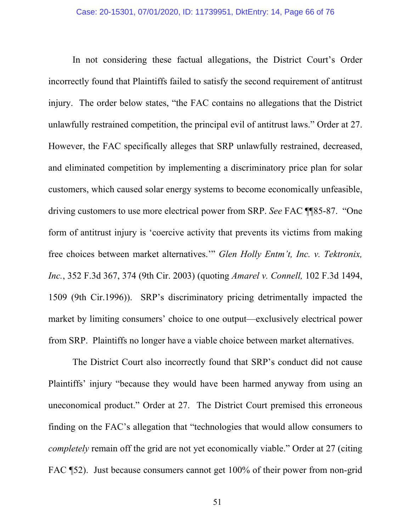In not considering these factual allegations, the District Court's Order incorrectly found that Plaintiffs failed to satisfy the second requirement of antitrust injury. The order below states, "the FAC contains no allegations that the District unlawfully restrained competition, the principal evil of antitrust laws." Order at 27. However, the FAC specifically alleges that SRP unlawfully restrained, decreased, and eliminated competition by implementing a discriminatory price plan for solar customers, which caused solar energy systems to become economically unfeasible, driving customers to use more electrical power from SRP. *See* FAC ¶¶85-87. "One form of antitrust injury is 'coercive activity that prevents its victims from making free choices between market alternatives.'" *Glen Holly Entm't, Inc. v. Tektronix, Inc.*, 352 F.3d 367, 374 (9th Cir. 2003) (quoting *Amarel v. Connell,* 102 F.3d 1494, 1509 (9th Cir.1996)). SRP's discriminatory pricing detrimentally impacted the market by limiting consumers' choice to one output—exclusively electrical power from SRP. Plaintiffs no longer have a viable choice between market alternatives.

The District Court also incorrectly found that SRP's conduct did not cause Plaintiffs' injury "because they would have been harmed anyway from using an uneconomical product." Order at 27. The District Court premised this erroneous finding on the FAC's allegation that "technologies that would allow consumers to *completely* remain off the grid are not yet economically viable." Order at 27 (citing FAC [52]. Just because consumers cannot get 100% of their power from non-grid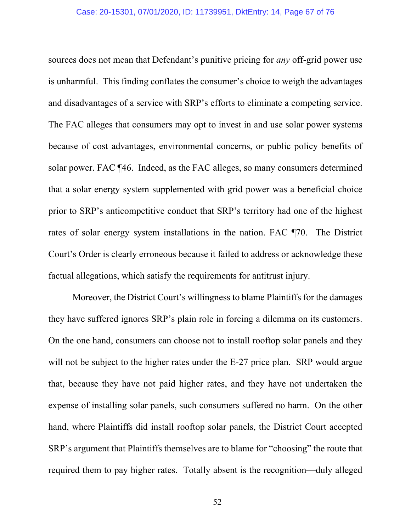sources does not mean that Defendant's punitive pricing for *any* off-grid power use is unharmful. This finding conflates the consumer's choice to weigh the advantages and disadvantages of a service with SRP's efforts to eliminate a competing service. The FAC alleges that consumers may opt to invest in and use solar power systems because of cost advantages, environmental concerns, or public policy benefits of solar power. FAC ¶46. Indeed, as the FAC alleges, so many consumers determined that a solar energy system supplemented with grid power was a beneficial choice prior to SRP's anticompetitive conduct that SRP's territory had one of the highest rates of solar energy system installations in the nation. FAC ¶70. The District Court's Order is clearly erroneous because it failed to address or acknowledge these factual allegations, which satisfy the requirements for antitrust injury.

Moreover, the District Court's willingness to blame Plaintiffs for the damages they have suffered ignores SRP's plain role in forcing a dilemma on its customers. On the one hand, consumers can choose not to install rooftop solar panels and they will not be subject to the higher rates under the E-27 price plan. SRP would argue that, because they have not paid higher rates, and they have not undertaken the expense of installing solar panels, such consumers suffered no harm. On the other hand, where Plaintiffs did install rooftop solar panels, the District Court accepted SRP's argument that Plaintiffs themselves are to blame for "choosing" the route that required them to pay higher rates. Totally absent is the recognition—duly alleged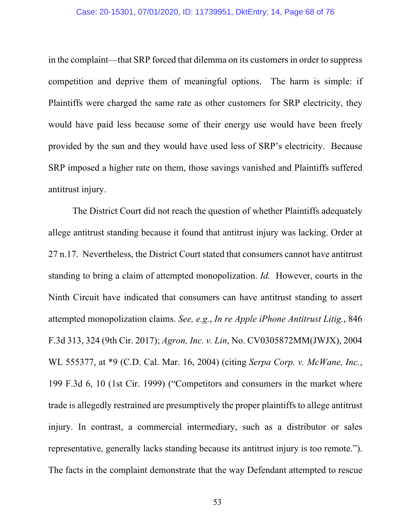#### Case: 20-15301, 07/01/2020, ID: 11739951, DktEntry: 14, Page 68 of 76

in the complaint—that SRP forced that dilemma on its customers in order to suppress competition and deprive them of meaningful options. The harm is simple: if Plaintiffs were charged the same rate as other customers for SRP electricity, they would have paid less because some of their energy use would have been freely provided by the sun and they would have used less of SRP's electricity. Because SRP imposed a higher rate on them, those savings vanished and Plaintiffs suffered antitrust injury.

The District Court did not reach the question of whether Plaintiffs adequately allege antitrust standing because it found that antitrust injury was lacking. Order at 27 n.17. Nevertheless, the District Court stated that consumers cannot have antitrust standing to bring a claim of attempted monopolization. *Id.* However, courts in the Ninth Circuit have indicated that consumers can have antitrust standing to assert attempted monopolization claims. *See, e.g.*, *In re Apple iPhone Antitrust Litig.*, 846 F.3d 313, 324 (9th Cir. 2017); *Agron, Inc. v. Lin*, No. CV0305872MM(JWJX), 2004 WL 555377, at \*9 (C.D. Cal. Mar. 16, 2004) (citing *Serpa Corp. v. McWane, Inc.*, 199 F.3d 6, 10 (1st Cir. 1999) ("Competitors and consumers in the market where trade is allegedly restrained are presumptively the proper plaintiffs to allege antitrust injury. In contrast, a commercial intermediary, such as a distributor or sales representative, generally lacks standing because its antitrust injury is too remote."). The facts in the complaint demonstrate that the way Defendant attempted to rescue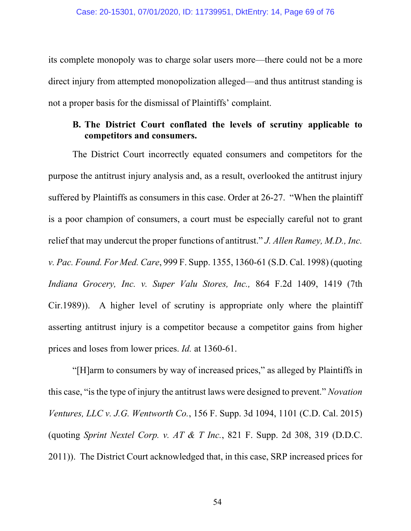its complete monopoly was to charge solar users more—there could not be a more direct injury from attempted monopolization alleged—and thus antitrust standing is not a proper basis for the dismissal of Plaintiffs' complaint.

### **B. The District Court conflated the levels of scrutiny applicable to competitors and consumers.**

The District Court incorrectly equated consumers and competitors for the purpose the antitrust injury analysis and, as a result, overlooked the antitrust injury suffered by Plaintiffs as consumers in this case. Order at 26-27. "When the plaintiff is a poor champion of consumers, a court must be especially careful not to grant relief that may undercut the proper functions of antitrust." *J. Allen Ramey, M.D., Inc. v. Pac. Found. For Med. Care*, 999 F. Supp. 1355, 1360-61 (S.D. Cal. 1998) (quoting *Indiana Grocery, Inc. v. Super Valu Stores, Inc.,* 864 F.2d 1409, 1419 (7th Cir.1989)). A higher level of scrutiny is appropriate only where the plaintiff asserting antitrust injury is a competitor because a competitor gains from higher prices and loses from lower prices. *Id.* at 1360-61.

"[H]arm to consumers by way of increased prices," as alleged by Plaintiffs in this case, "is the type of injury the antitrust laws were designed to prevent." *Novation Ventures, LLC v. J.G. Wentworth Co.*, 156 F. Supp. 3d 1094, 1101 (C.D. Cal. 2015) (quoting *Sprint Nextel Corp. v. AT & T Inc.*, 821 F. Supp. 2d 308, 319 (D.D.C. 2011)). The District Court acknowledged that, in this case, SRP increased prices for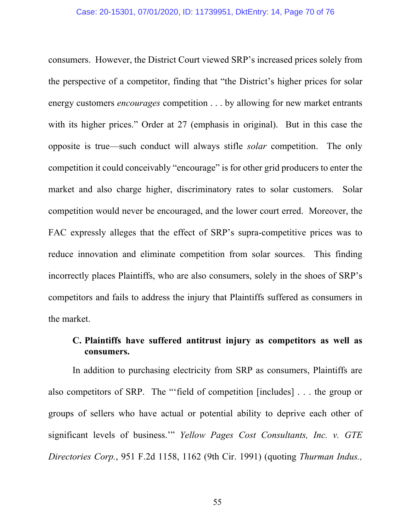consumers. However, the District Court viewed SRP's increased prices solely from the perspective of a competitor, finding that "the District's higher prices for solar energy customers *encourages* competition . . . by allowing for new market entrants with its higher prices." Order at 27 (emphasis in original). But in this case the opposite is true—such conduct will always stifle *solar* competition. The only competition it could conceivably "encourage" is for other grid producers to enter the market and also charge higher, discriminatory rates to solar customers. Solar competition would never be encouraged, and the lower court erred. Moreover, the FAC expressly alleges that the effect of SRP's supra-competitive prices was to reduce innovation and eliminate competition from solar sources. This finding incorrectly places Plaintiffs, who are also consumers, solely in the shoes of SRP's competitors and fails to address the injury that Plaintiffs suffered as consumers in the market.

# **C. Plaintiffs have suffered antitrust injury as competitors as well as consumers.**

In addition to purchasing electricity from SRP as consumers, Plaintiffs are also competitors of SRP. The "'field of competition [includes] . . . the group or groups of sellers who have actual or potential ability to deprive each other of significant levels of business.'" *Yellow Pages Cost Consultants, Inc. v. GTE Directories Corp.*, 951 F.2d 1158, 1162 (9th Cir. 1991) (quoting *Thurman Indus.,* 

55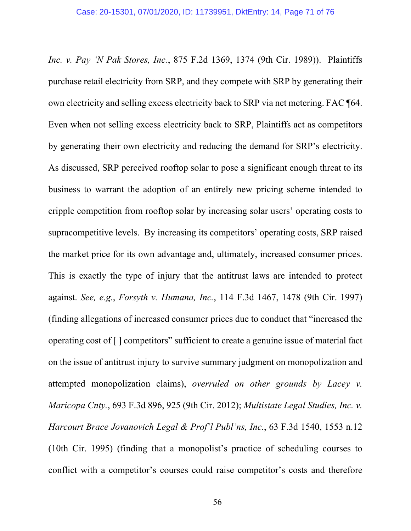*Inc. v. Pay 'N Pak Stores, Inc.*, 875 F.2d 1369, 1374 (9th Cir. 1989)). Plaintiffs purchase retail electricity from SRP, and they compete with SRP by generating their own electricity and selling excess electricity back to SRP via net metering. FAC ¶64. Even when not selling excess electricity back to SRP, Plaintiffs act as competitors by generating their own electricity and reducing the demand for SRP's electricity. As discussed, SRP perceived rooftop solar to pose a significant enough threat to its business to warrant the adoption of an entirely new pricing scheme intended to cripple competition from rooftop solar by increasing solar users' operating costs to supracompetitive levels. By increasing its competitors' operating costs, SRP raised the market price for its own advantage and, ultimately, increased consumer prices. This is exactly the type of injury that the antitrust laws are intended to protect against. *See, e.g.*, *Forsyth v. Humana, Inc.*, 114 F.3d 1467, 1478 (9th Cir. 1997) (finding allegations of increased consumer prices due to conduct that "increased the operating cost of [ ] competitors" sufficient to create a genuine issue of material fact on the issue of antitrust injury to survive summary judgment on monopolization and attempted monopolization claims), *overruled on other grounds by Lacey v. Maricopa Cnty.*, 693 F.3d 896, 925 (9th Cir. 2012); *Multistate Legal Studies, Inc. v. Harcourt Brace Jovanovich Legal & Prof'l Publ'ns, Inc.*, 63 F.3d 1540, 1553 n.12 (10th Cir. 1995) (finding that a monopolist's practice of scheduling courses to conflict with a competitor's courses could raise competitor's costs and therefore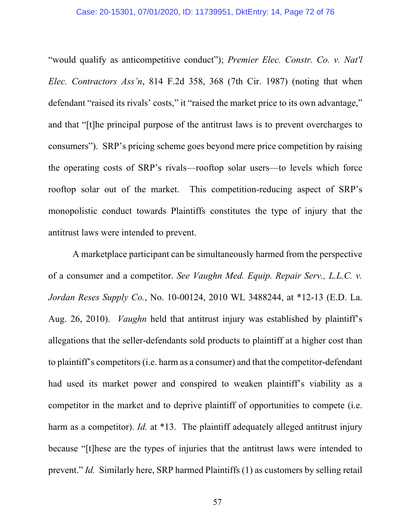"would qualify as anticompetitive conduct"); *Premier Elec. Constr. Co. v. Nat'l Elec. Contractors Ass'n*, 814 F.2d 358, 368 (7th Cir. 1987) (noting that when defendant "raised its rivals' costs," it "raised the market price to its own advantage," and that "[t]he principal purpose of the antitrust laws is to prevent overcharges to consumers"). SRP's pricing scheme goes beyond mere price competition by raising the operating costs of SRP's rivals—rooftop solar users—to levels which force rooftop solar out of the market. This competition-reducing aspect of SRP's monopolistic conduct towards Plaintiffs constitutes the type of injury that the antitrust laws were intended to prevent.

A marketplace participant can be simultaneously harmed from the perspective of a consumer and a competitor. *See Vaughn Med. Equip. Repair Serv., L.L.C. v. Jordan Reses Supply Co.*, No. 10-00124, 2010 WL 3488244, at \*12-13 (E.D. La. Aug. 26, 2010). *Vaughn* held that antitrust injury was established by plaintiff's allegations that the seller-defendants sold products to plaintiff at a higher cost than to plaintiff's competitors (i.e. harm as a consumer) and that the competitor-defendant had used its market power and conspired to weaken plaintiff's viability as a competitor in the market and to deprive plaintiff of opportunities to compete (i.e. harm as a competitor). *Id.* at \*13. The plaintiff adequately alleged antitrust injury because "[t]hese are the types of injuries that the antitrust laws were intended to prevent." *Id.* Similarly here, SRP harmed Plaintiffs (1) as customers by selling retail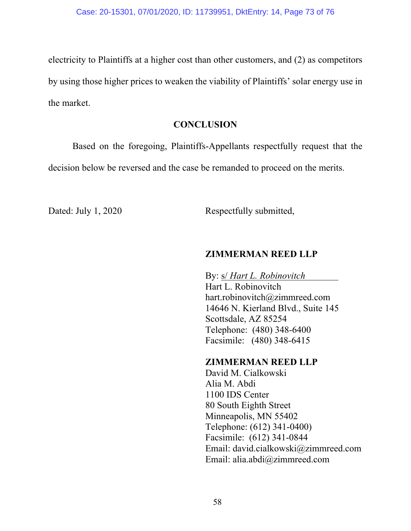electricity to Plaintiffs at a higher cost than other customers, and (2) as competitors by using those higher prices to weaken the viability of Plaintiffs' solar energy use in the market.

#### **CONCLUSION**

Based on the foregoing, Plaintiffs-Appellants respectfully request that the

decision below be reversed and the case be remanded to proceed on the merits.

Dated: July 1, 2020 Respectfully submitted,

#### **ZIMMERMAN REED LLP**

By: s/ *Hart L. Robinovitch* 

Hart L. Robinovitch hart.robinovitch@zimmreed.com 14646 N. Kierland Blvd., Suite 145 Scottsdale, AZ 85254 Telephone: (480) 348-6400 Facsimile: (480) 348-6415

### **ZIMMERMAN REED LLP**

David M. Cialkowski Alia M. Abdi 1100 IDS Center 80 South Eighth Street Minneapolis, MN 55402 Telephone: (612) 341-0400) Facsimile: (612) 341-0844 Email: david.cialkowski@zimmreed.com Email: alia.abdi@zimmreed.com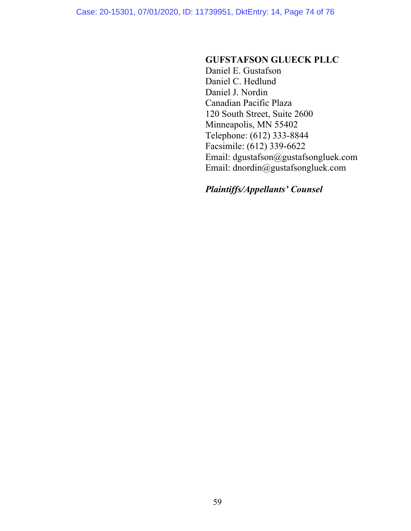Case: 20-15301, 07/01/2020, ID: 11739951, DktEntry: 14, Page 74 of 76

#### **GUFSTAFSON GLUECK PLLC**

Daniel E. Gustafson Daniel C. Hedlund Daniel J. Nordin Canadian Pacific Plaza 120 South Street, Suite 2600 Minneapolis, MN 55402 Telephone: (612) 333-8844 Facsimile: (612) 339-6622 Email: dgustafson@gustafsongluek.com Email: dnordin@gustafsongluek.com

# *Plaintiffs/Appellants' Counsel*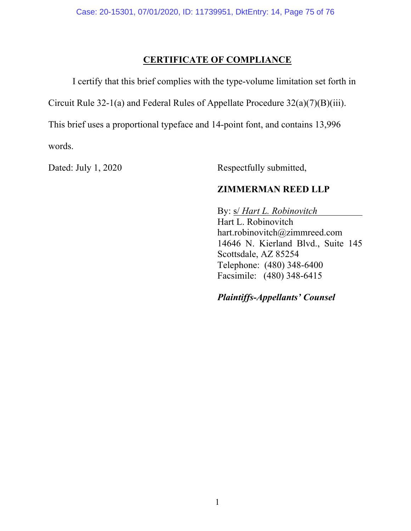### **CERTIFICATE OF COMPLIANCE**

I certify that this brief complies with the type-volume limitation set forth in

Circuit Rule 32-1(a) and Federal Rules of Appellate Procedure 32(a)(7)(B)(iii).

This brief uses a proportional typeface and 14-point font, and contains 13,996 words.

Dated: July 1, 2020 Respectfully submitted,

# **ZIMMERMAN REED LLP**

 By: s/ *Hart L. Robinovitch*  Hart L. Robinovitch hart.robinovitch@zimmreed.com 14646 N. Kierland Blvd., Suite 145 Scottsdale, AZ 85254 Telephone: (480) 348-6400 Facsimile: (480) 348-6415

### *Plaintiffs-Appellants' Counsel*